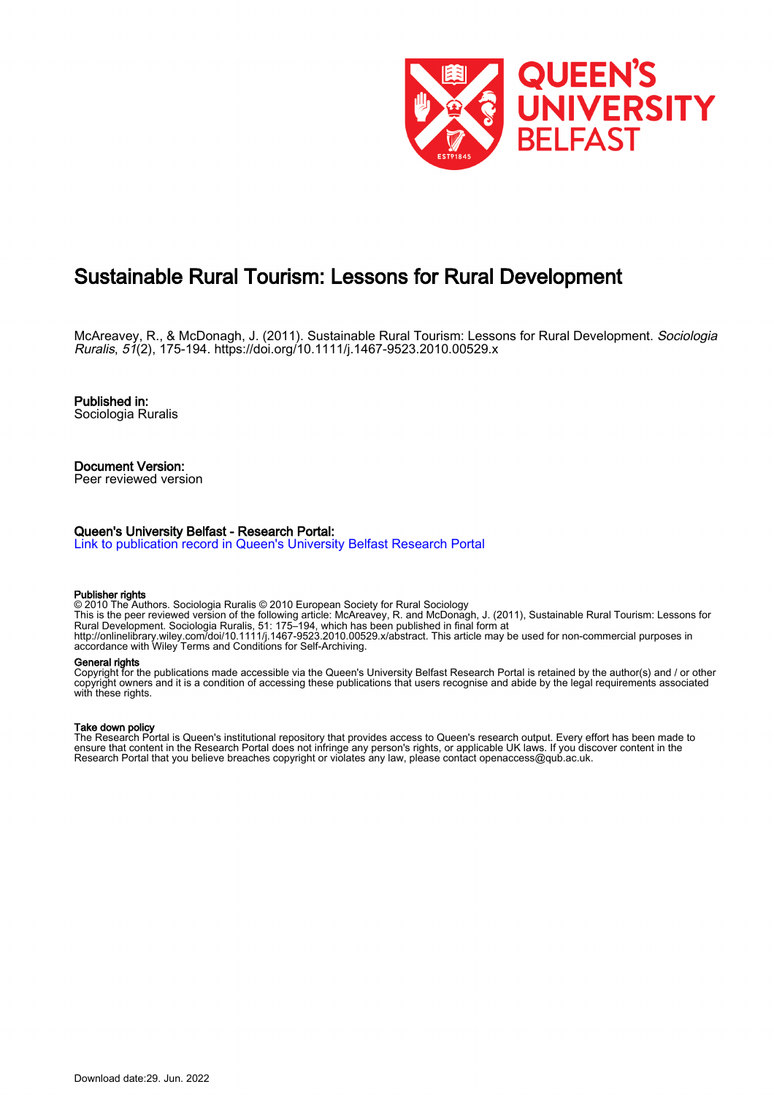

# Sustainable Rural Tourism: Lessons for Rural Development

McAreavey, R., & McDonagh, J. (2011). Sustainable Rural Tourism: Lessons for Rural Development. Sociologia Ruralis, 51(2), 175-194. <https://doi.org/10.1111/j.1467-9523.2010.00529.x>

Published in: Sociologia Ruralis

Document Version: Peer reviewed version

#### Queen's University Belfast - Research Portal:

[Link to publication record in Queen's University Belfast Research Portal](https://pure.qub.ac.uk/en/publications/1a486ef1-bbed-496c-a876-a65e15896b84)

#### Publisher rights

© 2010 The Authors. Sociologia Ruralis © 2010 European Society for Rural Sociology This is the peer reviewed version of the following article: McAreavey, R. and McDonagh, J. (2011), Sustainable Rural Tourism: Lessons for Rural Development. Sociologia Ruralis, 51: 175–194, which has been published in final form at http://onlinelibrary.wiley.com/doi/10.1111/j.1467-9523.2010.00529.x/abstract. This article may be used for non-commercial purposes in accordance with Wiley Terms and Conditions for Self-Archiving.

#### General rights

Copyright for the publications made accessible via the Queen's University Belfast Research Portal is retained by the author(s) and / or other copyright owners and it is a condition of accessing these publications that users recognise and abide by the legal requirements associated with these rights.

#### Take down policy

The Research Portal is Queen's institutional repository that provides access to Queen's research output. Every effort has been made to ensure that content in the Research Portal does not infringe any person's rights, or applicable UK laws. If you discover content in the Research Portal that you believe breaches copyright or violates any law, please contact openaccess@qub.ac.uk.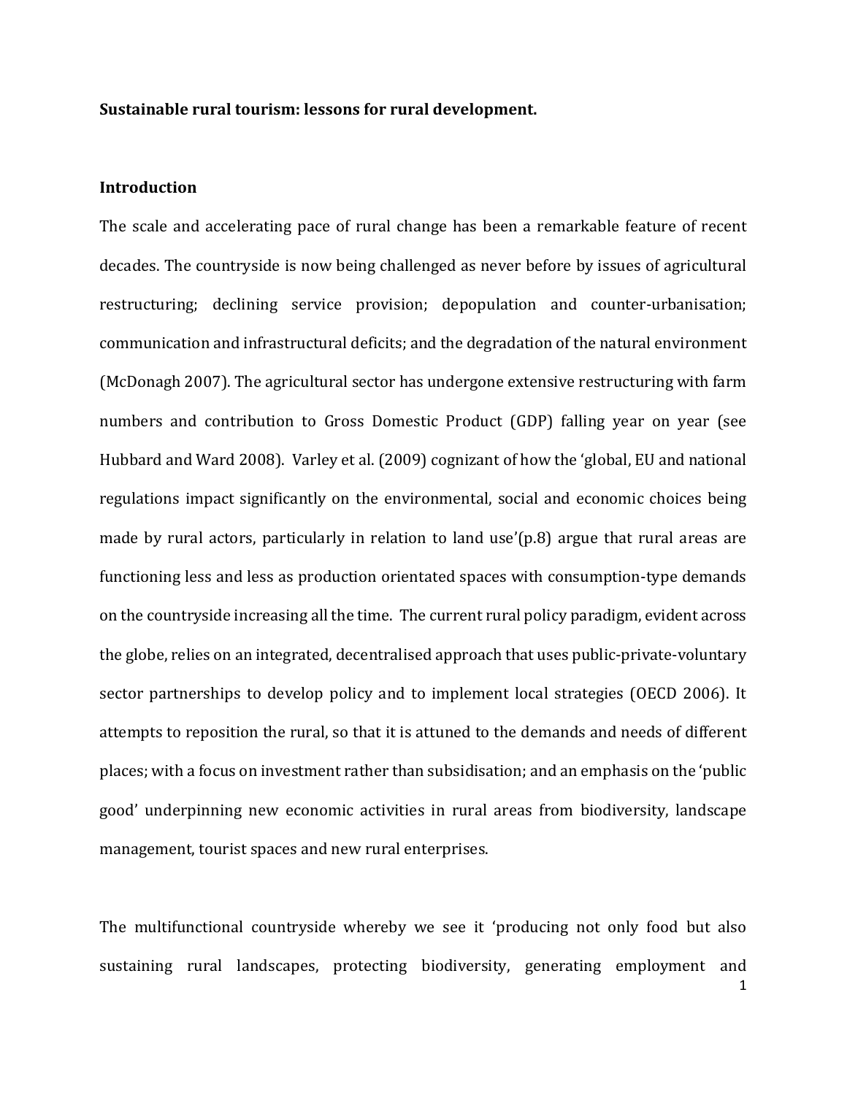#### **Sustainable rural tourism: lessons for rural development.**

#### **Introduction**

The scale and accelerating pace of rural change has been a remarkable feature of recent decades. The countryside is now being challenged as never before by issues of agricultural restructuring; declining service provision; depopulation and counter-urbanisation; communication and infrastructural deficits; and the degradation of the natural environment (McDonagh 2007). The agricultural sector has undergone extensive restructuring with farm numbers and contribution to Gross Domestic Product (GDP) falling year on year (see Hubbard and Ward 2008). Varley et al. (2009) cognizant of how the 'global, EU and national regulations impact significantly on the environmental, social and economic choices being made by rural actors, particularly in relation to land use'(p.8) argue that rural areas are functioning less and less as production orientated spaces with consumption-type demands on the countryside increasing all the time. The current rural policy paradigm, evident across the globe, relies on an integrated, decentralised approach that uses public-private-voluntary sector partnerships to develop policy and to implement local strategies (OECD 2006). It attempts to reposition the rural, so that it is attuned to the demands and needs of different places; with a focus on investment rather than subsidisation; and an emphasis on the 'public good' underpinning new economic activities in rural areas from biodiversity, landscape management, tourist spaces and new rural enterprises.

The multifunctional countryside whereby we see it 'producing not only food but also sustaining rural landscapes, protecting biodiversity, generating employment and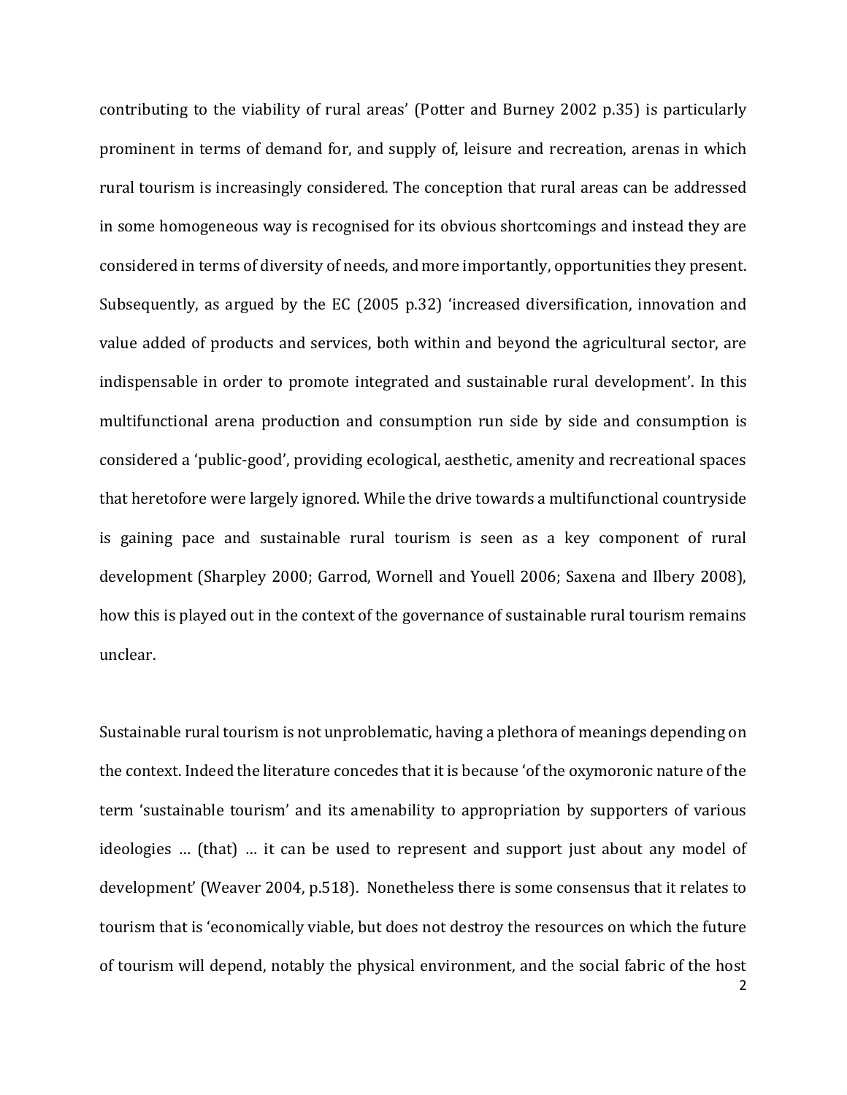contributing to the viability of rural areas' (Potter and Burney 2002 p.35) is particularly prominent in terms of demand for, and supply of, leisure and recreation, arenas in which rural tourism is increasingly considered. The conception that rural areas can be addressed in some homogeneous way is recognised for its obvious shortcomings and instead they are considered in terms of diversity of needs, and more importantly, opportunities they present. Subsequently, as argued by the EC (2005 p.32) 'increased diversification, innovation and value added of products and services, both within and beyond the agricultural sector, are indispensable in order to promote integrated and sustainable rural development'. In this multifunctional arena production and consumption run side by side and consumption is considered a 'public-good', providing ecological, aesthetic, amenity and recreational spaces that heretofore were largely ignored. While the drive towards a multifunctional countryside is gaining pace and sustainable rural tourism is seen as a key component of rural development (Sharpley 2000; Garrod, Wornell and Youell 2006; Saxena and Ilbery 2008), how this is played out in the context of the governance of sustainable rural tourism remains unclear.

Sustainable rural tourism is not unproblematic, having a plethora of meanings depending on the context. Indeed the literature concedes that it is because 'of the oxymoronic nature of the term 'sustainable tourism' and its amenability to appropriation by supporters of various ideologies … (that) … it can be used to represent and support just about any model of development' (Weaver 2004, p.518). Nonetheless there is some consensus that it relates to tourism that is 'economically viable, but does not destroy the resources on which the future of tourism will depend, notably the physical environment, and the social fabric of the host

2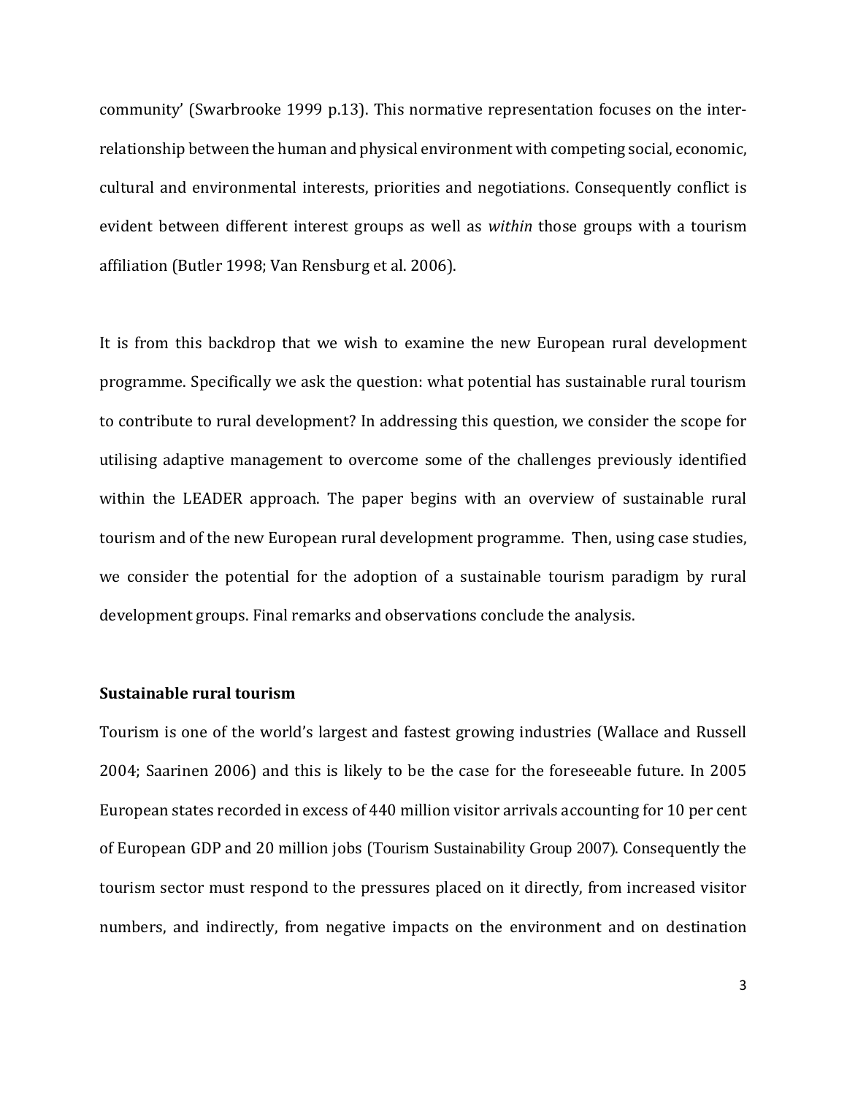community' (Swarbrooke 1999 p.13). This normative representation focuses on the interrelationship between the human and physical environment with competing social, economic, cultural and environmental interests, priorities and negotiations. Consequently conflict is evident between different interest groups as well as *within* those groups with a tourism affiliation (Butler 1998; Van Rensburg et al. 2006).

It is from this backdrop that we wish to examine the new European rural development programme. Specifically we ask the question: what potential has sustainable rural tourism to contribute to rural development? In addressing this question, we consider the scope for utilising adaptive management to overcome some of the challenges previously identified within the LEADER approach. The paper begins with an overview of sustainable rural tourism and of the new European rural development programme. Then, using case studies, we consider the potential for the adoption of a sustainable tourism paradigm by rural development groups. Final remarks and observations conclude the analysis.

#### **Sustainable rural tourism**

Tourism is one of the world's largest and fastest growing industries (Wallace and Russell 2004; Saarinen 2006) and this is likely to be the case for the foreseeable future. In 2005 European states recorded in excess of 440 million visitor arrivals accounting for 10 per cent of European GDP and 20 million jobs (Tourism Sustainability Group 2007). Consequently the tourism sector must respond to the pressures placed on it directly, from increased visitor numbers, and indirectly, from negative impacts on the environment and on destination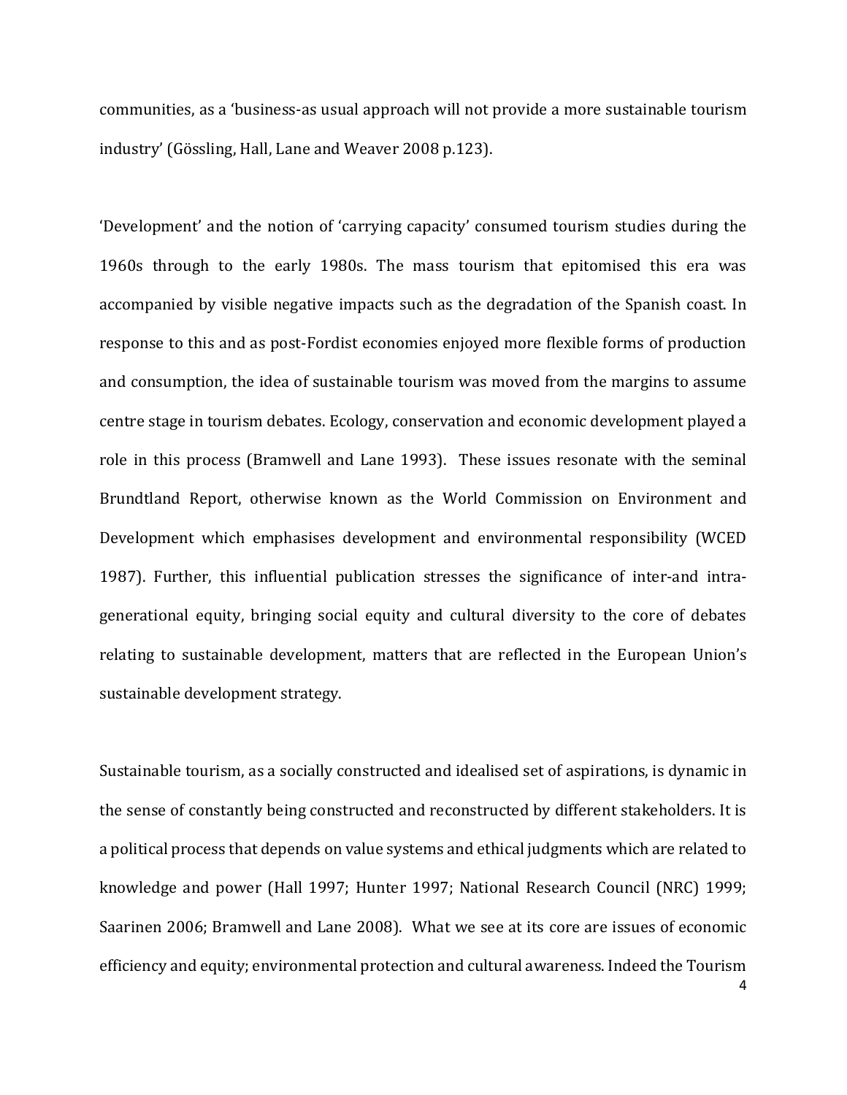communities, as a 'business-as usual approach will not provide a more sustainable tourism industry' (Gössling, Hall, Lane and Weaver 2008 p.123).

'Development' and the notion of 'carrying capacity' consumed tourism studies during the 1960s through to the early 1980s. The mass tourism that epitomised this era was accompanied by visible negative impacts such as the degradation of the Spanish coast. In response to this and as post-Fordist economies enjoyed more flexible forms of production and consumption, the idea of sustainable tourism was moved from the margins to assume centre stage in tourism debates. Ecology, conservation and economic development played a role in this process (Bramwell and Lane 1993). These issues resonate with the seminal Brundtland Report, otherwise known as the World Commission on Environment and Development which emphasises development and environmental responsibility (WCED 1987). Further, this influential publication stresses the significance of inter-and intragenerational equity, bringing social equity and cultural diversity to the core of debates relating to sustainable development, matters that are reflected in the European Union's sustainable development strategy.

Sustainable tourism, as a socially constructed and idealised set of aspirations, is dynamic in the sense of constantly being constructed and reconstructed by different stakeholders. It is a political process that depends on value systems and ethical judgments which are related to knowledge and power (Hall 1997; Hunter 1997; National Research Council (NRC) 1999; Saarinen 2006; Bramwell and Lane 2008). What we see at its core are issues of economic efficiency and equity; environmental protection and cultural awareness. Indeed the Tourism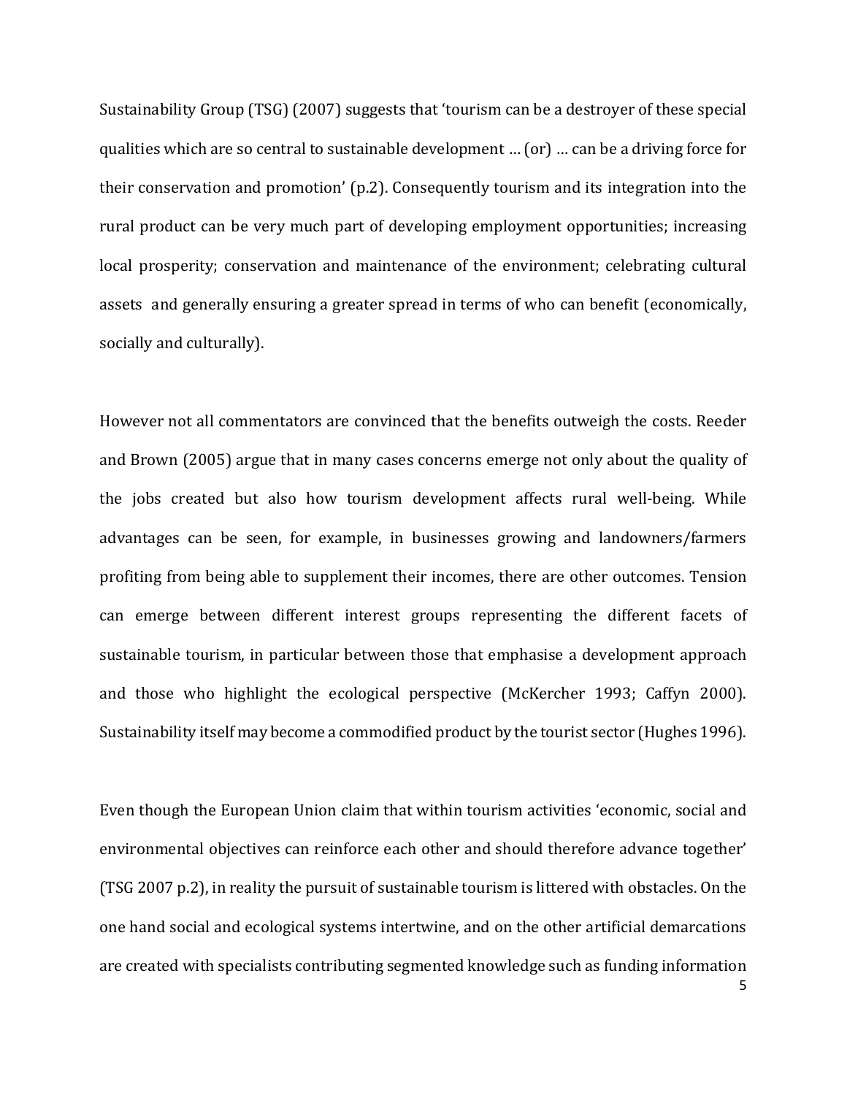Sustainability Group (TSG) (2007) suggests that 'tourism can be a destroyer of these special qualities which are so central to sustainable development … (or) … can be a driving force for their conservation and promotion' (p.2). Consequently tourism and its integration into the rural product can be very much part of developing employment opportunities; increasing local prosperity; conservation and maintenance of the environment; celebrating cultural assets and generally ensuring a greater spread in terms of who can benefit (economically, socially and culturally).

However not all commentators are convinced that the benefits outweigh the costs. Reeder and Brown (2005) argue that in many cases concerns emerge not only about the quality of the jobs created but also how tourism development affects rural well-being. While advantages can be seen, for example, in businesses growing and landowners/farmers profiting from being able to supplement their incomes, there are other outcomes. Tension can emerge between different interest groups representing the different facets of sustainable tourism, in particular between those that emphasise a development approach and those who highlight the ecological perspective (McKercher 1993; Caffyn 2000). Sustainability itself may become a commodified product by the tourist sector (Hughes 1996).

Even though the European Union claim that within tourism activities 'economic, social and environmental objectives can reinforce each other and should therefore advance together' (TSG 2007 p.2), in reality the pursuit of sustainable tourism is littered with obstacles. On the one hand social and ecological systems intertwine, and on the other artificial demarcations are created with specialists contributing segmented knowledge such as funding information

5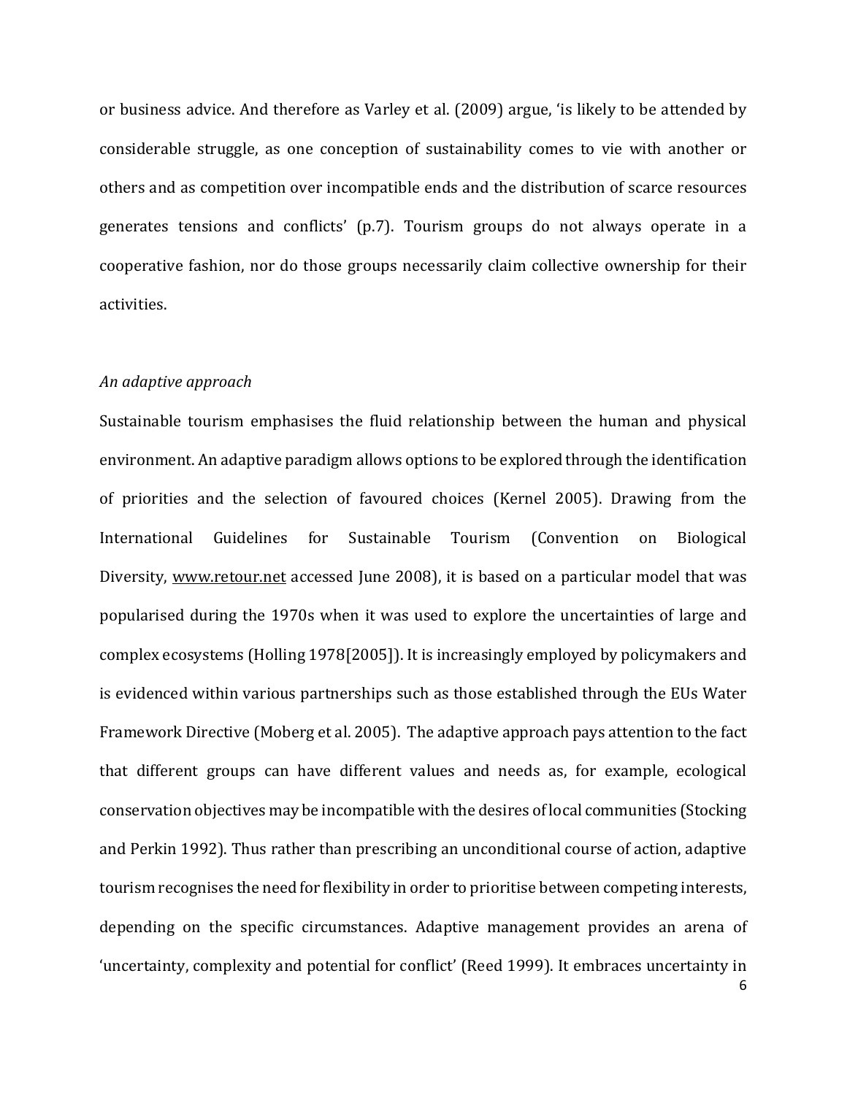or business advice. And therefore as Varley et al. (2009) argue, 'is likely to be attended by considerable struggle, as one conception of sustainability comes to vie with another or others and as competition over incompatible ends and the distribution of scarce resources generates tensions and conflicts' (p.7). Tourism groups do not always operate in a cooperative fashion, nor do those groups necessarily claim collective ownership for their activities.

#### *An adaptive approach*

Sustainable tourism emphasises the fluid relationship between the human and physical environment. An adaptive paradigm allows options to be explored through the identification of priorities and the selection of favoured choices (Kernel 2005). Drawing from the International Guidelines for Sustainable Tourism (Convention on Biological Diversity, [www.retour.net](http://www.retour.net/) accessed June 2008), it is based on a particular model that was popularised during the 1970s when it was used to explore the uncertainties of large and complex ecosystems (Holling 1978[2005]). It is increasingly employed by policymakers and is evidenced within various partnerships such as those established through the EUs Water Framework Directive (Moberg et al. 2005). The adaptive approach pays attention to the fact that different groups can have different values and needs as, for example, ecological conservation objectives may be incompatible with the desires of local communities (Stocking and Perkin 1992). Thus rather than prescribing an unconditional course of action, adaptive tourism recognises the need for flexibility in order to prioritise between competing interests, depending on the specific circumstances. Adaptive management provides an arena of 'uncertainty, complexity and potential for conflict' (Reed 1999). It embraces uncertainty in

6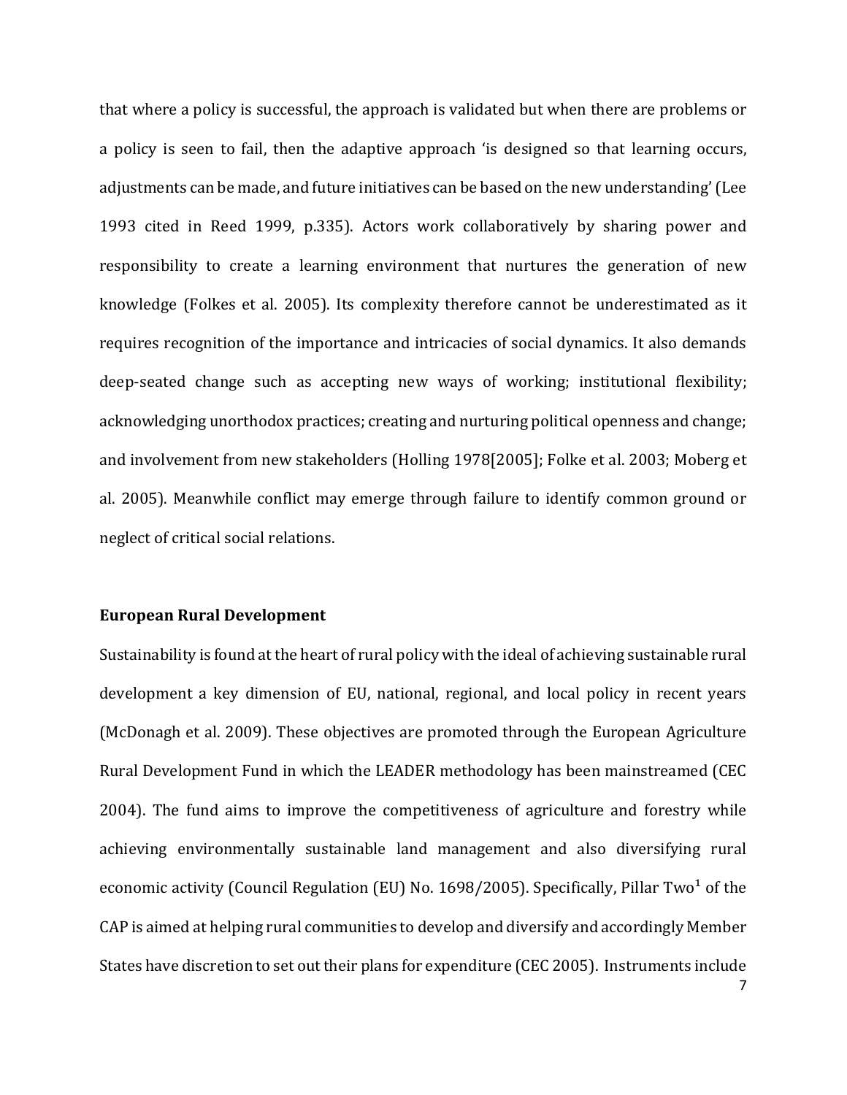that where a policy is successful, the approach is validated but when there are problems or a policy is seen to fail, then the adaptive approach 'is designed so that learning occurs, adjustments can be made, and future initiatives can be based on the new understanding' (Lee 1993 cited in Reed 1999, p.335). Actors work collaboratively by sharing power and responsibility to create a learning environment that nurtures the generation of new knowledge (Folkes et al. 2005). Its complexity therefore cannot be underestimated as it requires recognition of the importance and intricacies of social dynamics. It also demands deep-seated change such as accepting new ways of working; institutional flexibility; acknowledging unorthodox practices; creating and nurturing political openness and change; and involvement from new stakeholders (Holling 1978[2005]; Folke et al. 2003; Moberg et al. 2005). Meanwhile conflict may emerge through failure to identify common ground or neglect of critical social relations.

## **European Rural Development**

Sustainability is found at the heart of rural policy with the ideal of achieving sustainable rural development a key dimension of EU, national, regional, and local policy in recent years (McDonagh et al. 2009). These objectives are promoted through the European Agriculture Rural Development Fund in which the LEADER methodology has been mainstreamed (CEC 2004). The fund aims to improve the competitiveness of agriculture and forestry while achieving environmentally sustainable land management and also diversifying rural economic activity (Council Regulation (EU) No. 1698/2005). Specifically, Pillar Two<sup>1</sup> of the CAP is aimed at helping rural communities to develop and diversify and accordingly Member States have discretion to set out their plans for expenditure (CEC 2005). Instruments include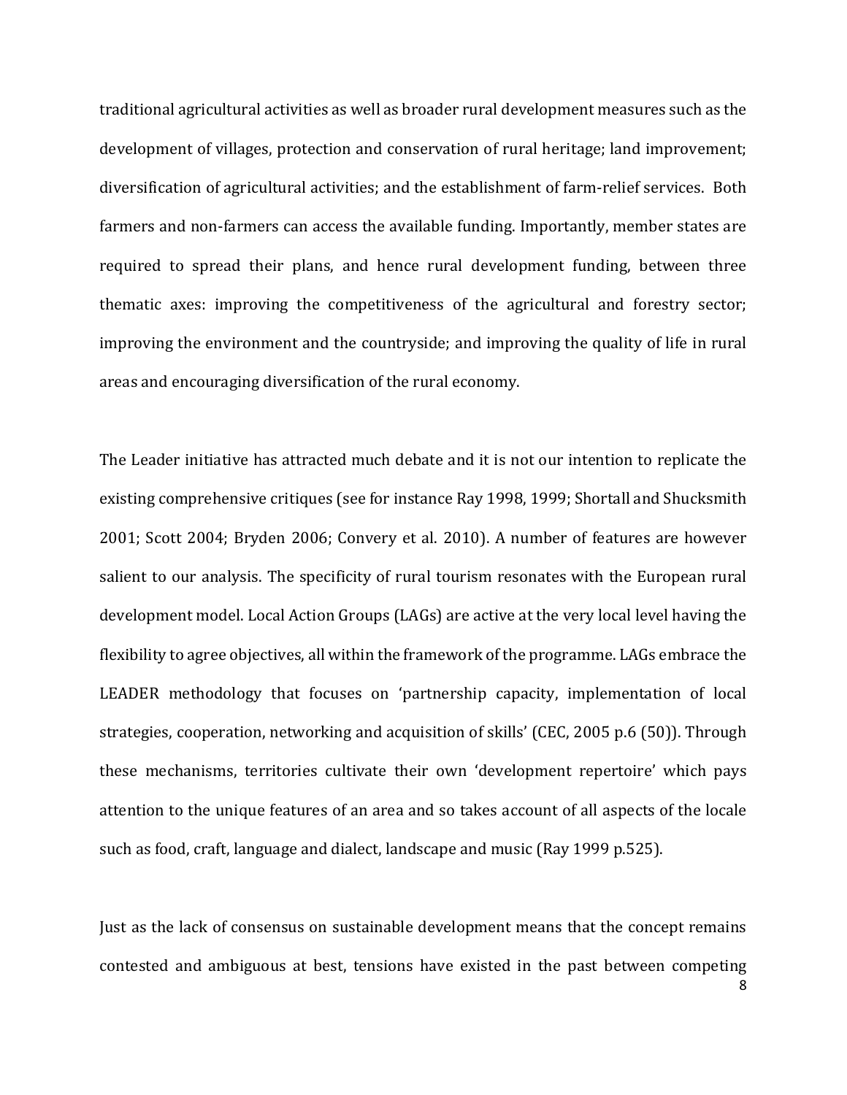traditional agricultural activities as well as broader rural development measures such as the development of villages, protection and conservation of rural heritage; land improvement; diversification of agricultural activities; and the establishment of farm-relief services. Both farmers and non-farmers can access the available funding. Importantly, member states are required to spread their plans, and hence rural development funding, between three thematic axes: improving the competitiveness of the agricultural and forestry sector; improving the environment and the countryside; and improving the quality of life in rural areas and encouraging diversification of the rural economy.

The Leader initiative has attracted much debate and it is not our intention to replicate the existing comprehensive critiques (see for instance Ray 1998, 1999; Shortall and Shucksmith 2001; Scott 2004; Bryden 2006; Convery et al. 2010). A number of features are however salient to our analysis. The specificity of rural tourism resonates with the European rural development model. Local Action Groups (LAGs) are active at the very local level having the flexibility to agree objectives, all within the framework of the programme. LAGs embrace the LEADER methodology that focuses on 'partnership capacity, implementation of local strategies, cooperation, networking and acquisition of skills' (CEC, 2005 p.6 (50)). Through these mechanisms, territories cultivate their own 'development repertoire' which pays attention to the unique features of an area and so takes account of all aspects of the locale such as food, craft, language and dialect, landscape and music (Ray 1999 p.525).

Just as the lack of consensus on sustainable development means that the concept remains contested and ambiguous at best, tensions have existed in the past between competing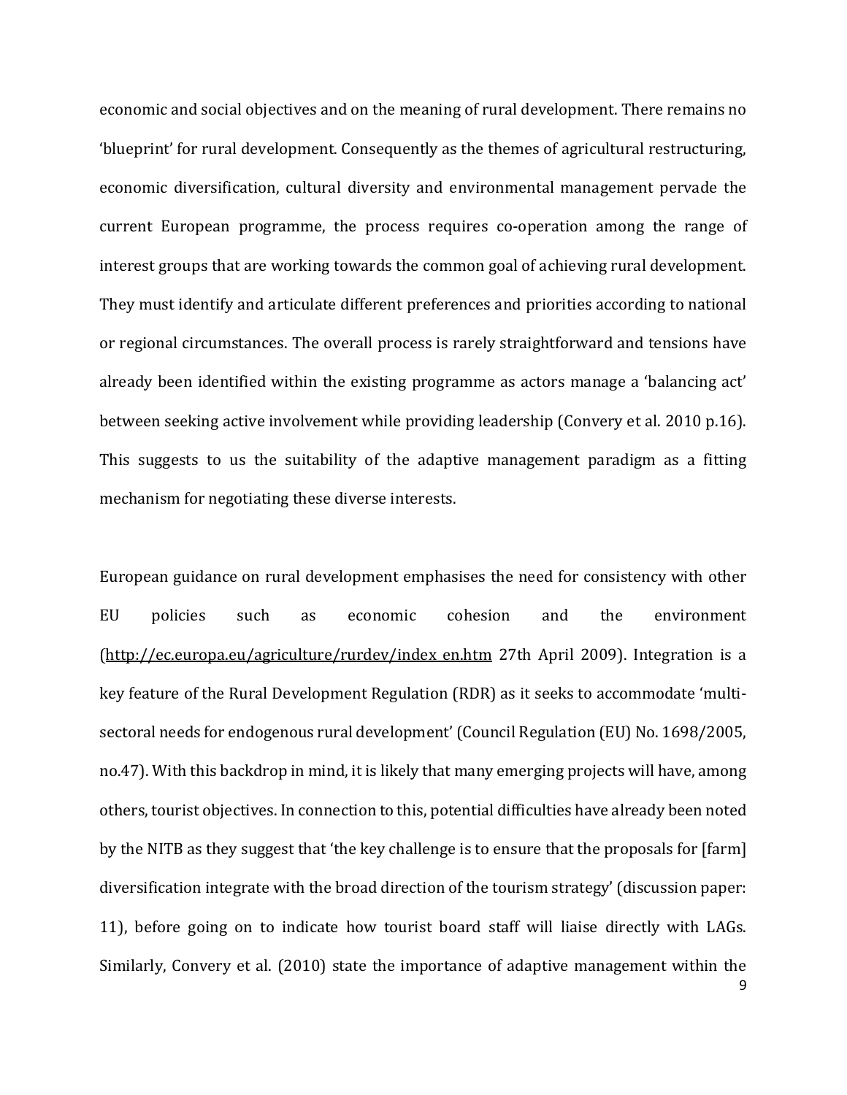economic and social objectives and on the meaning of rural development. There remains no 'blueprint' for rural development. Consequently as the themes of agricultural restructuring, economic diversification, cultural diversity and environmental management pervade the current European programme, the process requires co-operation among the range of interest groups that are working towards the common goal of achieving rural development. They must identify and articulate different preferences and priorities according to national or regional circumstances. The overall process is rarely straightforward and tensions have already been identified within the existing programme as actors manage a 'balancing act' between seeking active involvement while providing leadership (Convery et al. 2010 p.16). This suggests to us the suitability of the adaptive management paradigm as a fitting mechanism for negotiating these diverse interests.

9 European guidance on rural development emphasises the need for consistency with other EU policies such as economic cohesion and the environment (http://ec.europa.eu/agriculture/rurdev/index en.htm 27th April 2009). Integration is a key feature of the Rural Development Regulation (RDR) as it seeks to accommodate 'multisectoral needs for endogenous rural development' (Council Regulation (EU) No. 1698/2005, no.47). With this backdrop in mind, it is likely that many emerging projects will have, among others, tourist objectives. In connection to this, potential difficulties have already been noted by the NITB as they suggest that 'the key challenge is to ensure that the proposals for [farm] diversification integrate with the broad direction of the tourism strategy' (discussion paper: 11), before going on to indicate how tourist board staff will liaise directly with LAGs. Similarly, Convery et al. (2010) state the importance of adaptive management within the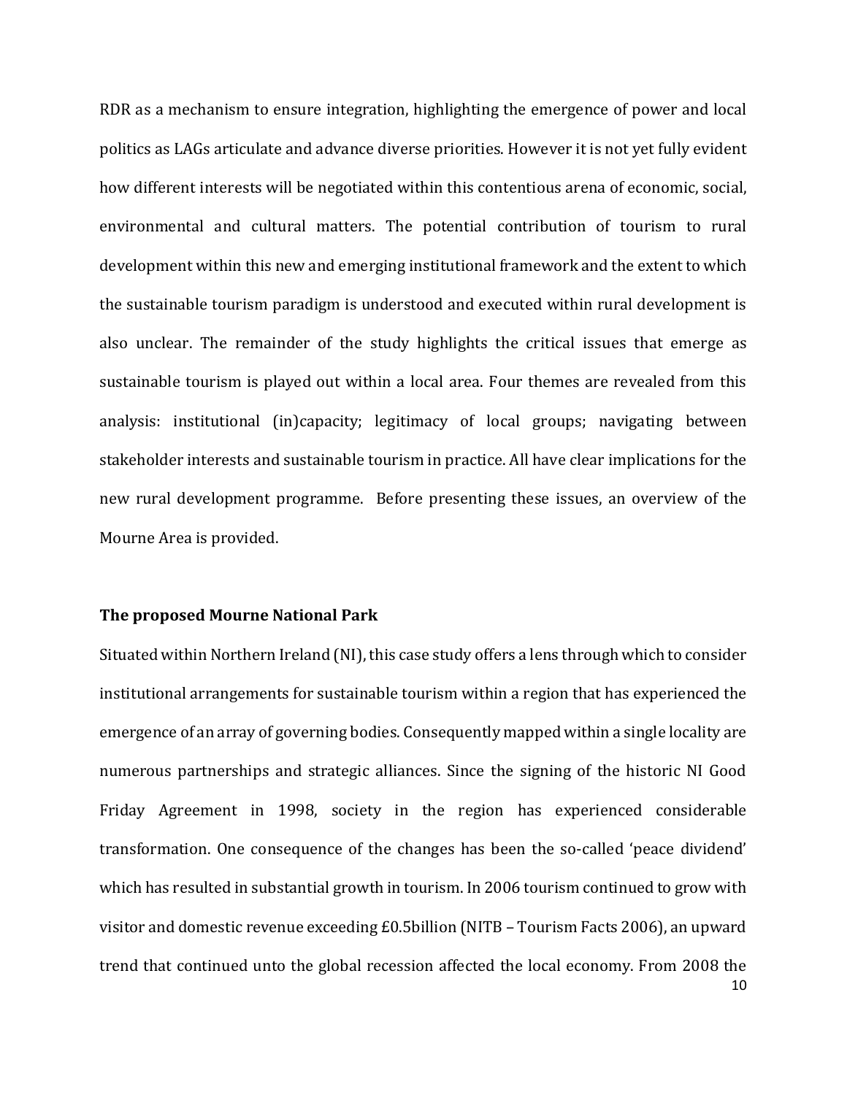RDR as a mechanism to ensure integration, highlighting the emergence of power and local politics as LAGs articulate and advance diverse priorities. However it is not yet fully evident how different interests will be negotiated within this contentious arena of economic, social, environmental and cultural matters. The potential contribution of tourism to rural development within this new and emerging institutional framework and the extent to which the sustainable tourism paradigm is understood and executed within rural development is also unclear. The remainder of the study highlights the critical issues that emerge as sustainable tourism is played out within a local area. Four themes are revealed from this analysis: institutional (in)capacity; legitimacy of local groups; navigating between stakeholder interests and sustainable tourism in practice. All have clear implications for the new rural development programme. Before presenting these issues, an overview of the Mourne Area is provided.

## **The proposed Mourne National Park**

10 Situated within Northern Ireland (NI), this case study offers a lens through which to consider institutional arrangements for sustainable tourism within a region that has experienced the emergence of an array of governing bodies. Consequently mapped within a single locality are numerous partnerships and strategic alliances. Since the signing of the historic NI Good Friday Agreement in 1998, society in the region has experienced considerable transformation. One consequence of the changes has been the so-called 'peace dividend' which has resulted in substantial growth in tourism. In 2006 tourism continued to grow with visitor and domestic revenue exceeding £0.5billion (NITB – Tourism Facts 2006), an upward trend that continued unto the global recession affected the local economy. From 2008 the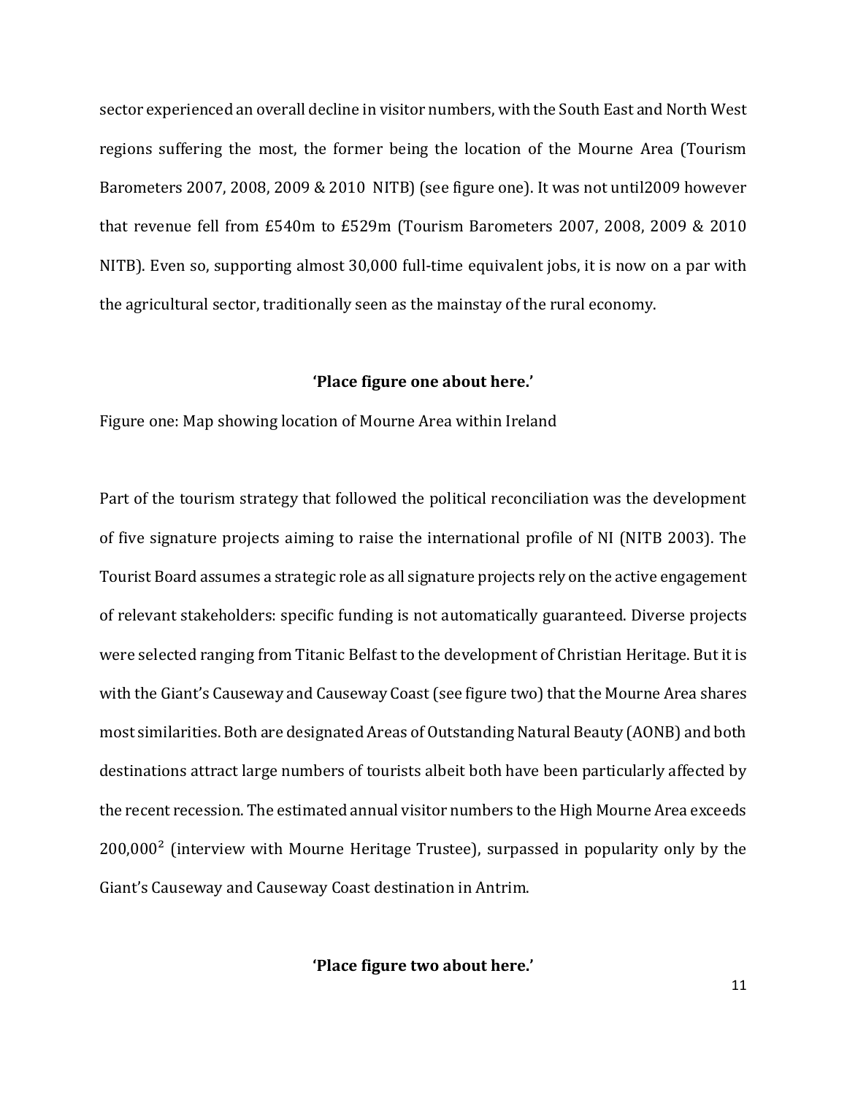sector experienced an overall decline in visitor numbers, with the South East and North West regions suffering the most, the former being the location of the Mourne Area (Tourism Barometers 2007, 2008, 2009 & 2010 NITB) (see figure one). It was not until2009 however that revenue fell from £540m to £529m (Tourism Barometers 2007, 2008, 2009 & 2010 NITB). Even so, supporting almost 30,000 full-time equivalent jobs, it is now on a par with the agricultural sector, traditionally seen as the mainstay of the rural economy.

#### **'Place figure one about here.'**

Figure one: Map showing location of Mourne Area within Ireland

Part of the tourism strategy that followed the political reconciliation was the development of five signature projects aiming to raise the international profile of NI (NITB 2003). The Tourist Board assumes a strategic role as all signature projects rely on the active engagement of relevant stakeholders: specific funding is not automatically guaranteed. Diverse projects were selected ranging from Titanic Belfast to the development of Christian Heritage. But it is with the Giant's Causeway and Causeway Coast (see figure two) that the Mourne Area shares most similarities. Both are designated Areas of Outstanding Natural Beauty (AONB) and both destinations attract large numbers of tourists albeit both have been particularly affected by the recent recession. The estimated annual visitor numbers to the High Mourne Area exceeds  $200,000<sup>2</sup>$  (interview with Mourne Heritage Trustee), surpassed in popularity only by the Giant's Causeway and Causeway Coast destination in Antrim.

**'Place figure two about here.'**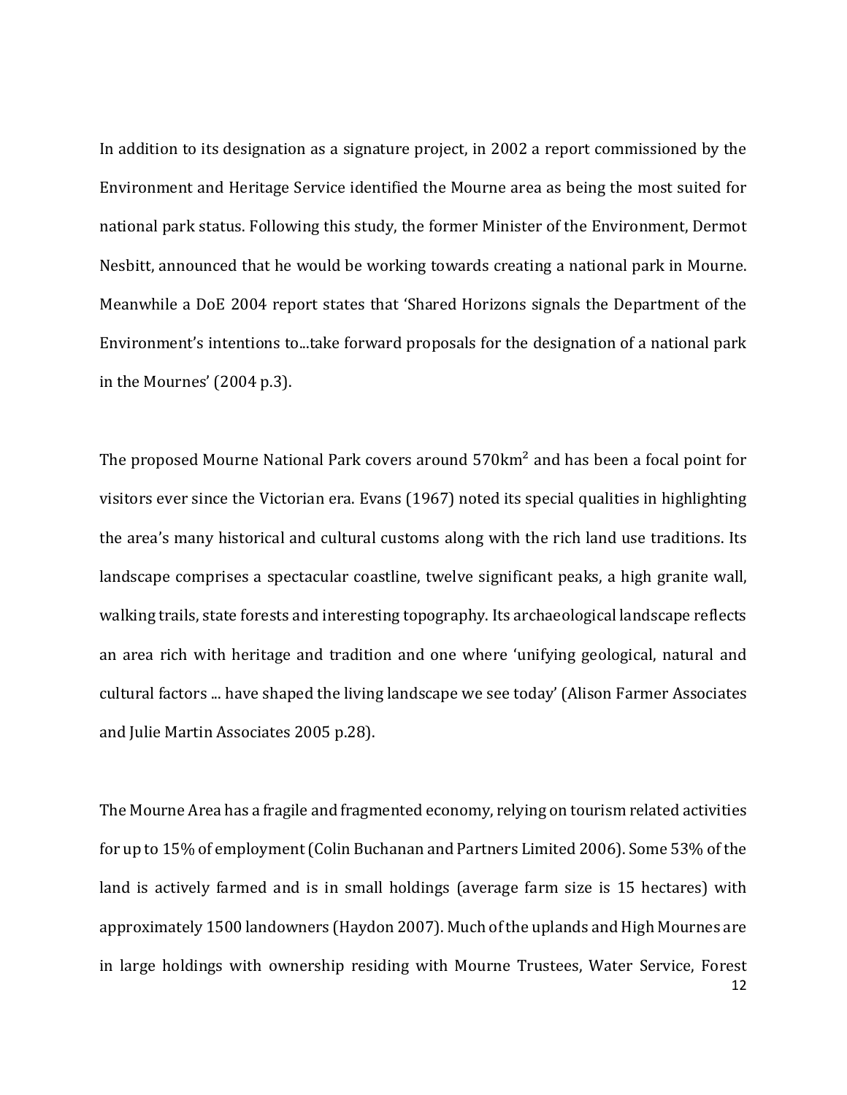In addition to its designation as a signature project, in 2002 a report commissioned by the Environment and Heritage Service identified the Mourne area as being the most suited for national park status. Following this study, the former Minister of the Environment, Dermot Nesbitt, announced that he would be working towards creating a national park in Mourne. Meanwhile a DoE 2004 report states that 'Shared Horizons signals the Department of the Environment's intentions to...take forward proposals for the designation of a national park in the Mournes' (2004 p.3).

The proposed Mourne National Park covers around 570km<sup>2</sup> and has been a focal point for visitors ever since the Victorian era. Evans (1967) noted its special qualities in highlighting the area's many historical and cultural customs along with the rich land use traditions. Its landscape comprises a spectacular coastline, twelve significant peaks, a high granite wall, walking trails, state forests and interesting topography. Its archaeological landscape reflects an area rich with heritage and tradition and one where 'unifying geological, natural and cultural factors ... have shaped the living landscape we see today' (Alison Farmer Associates and Julie Martin Associates 2005 p.28).

12 The Mourne Area has a fragile and fragmented economy, relying on tourism related activities for up to 15% of employment (Colin Buchanan and Partners Limited 2006). Some 53% of the land is actively farmed and is in small holdings (average farm size is 15 hectares) with approximately 1500 landowners (Haydon 2007). Much of the uplands and High Mournes are in large holdings with ownership residing with Mourne Trustees, Water Service, Forest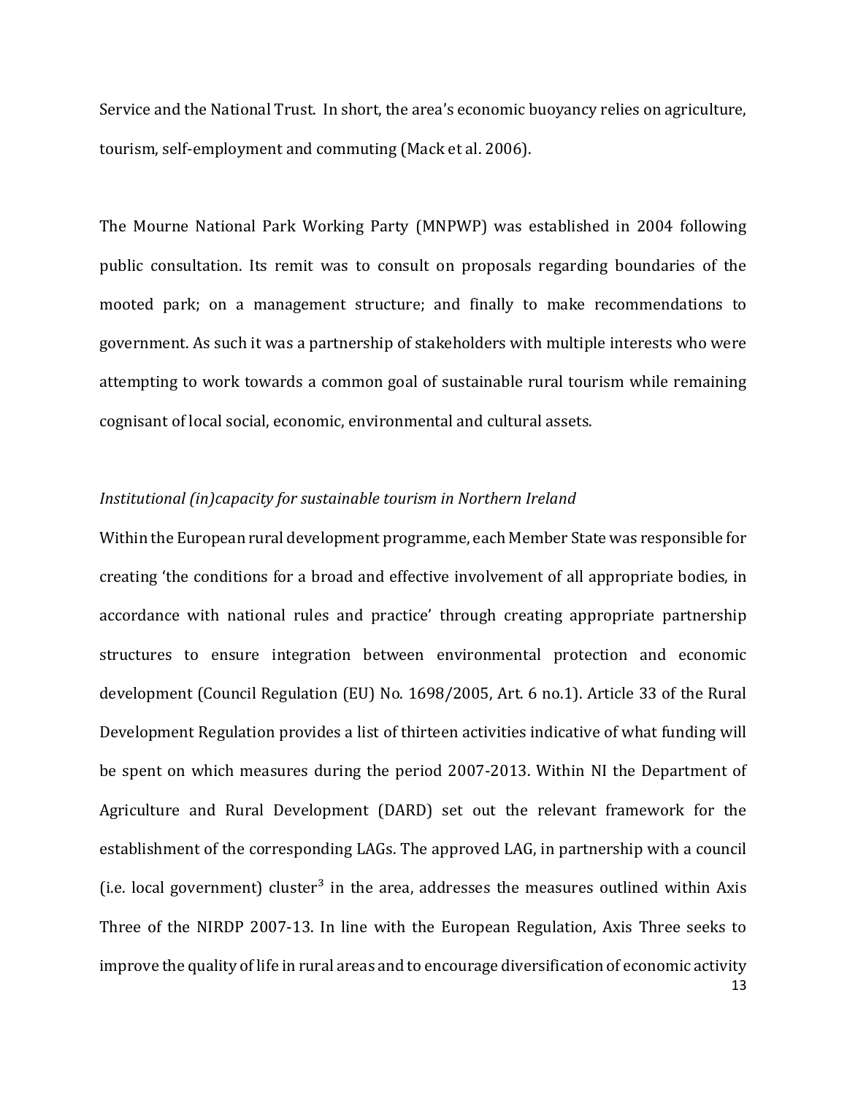Service and the National Trust. In short, the area's economic buoyancy relies on agriculture, tourism, self-employment and commuting (Mack et al. 2006).

The Mourne National Park Working Party (MNPWP) was established in 2004 following public consultation. Its remit was to consult on proposals regarding boundaries of the mooted park; on a management structure; and finally to make recommendations to government. As such it was a partnership of stakeholders with multiple interests who were attempting to work towards a common goal of sustainable rural tourism while remaining cognisant of local social, economic, environmental and cultural assets.

# *Institutional (in)capacity for sustainable tourism in Northern Ireland*

13 Within the European rural development programme, each Member State was responsible for creating 'the conditions for a broad and effective involvement of all appropriate bodies, in accordance with national rules and practice' through creating appropriate partnership structures to ensure integration between environmental protection and economic development (Council Regulation (EU) No. 1698/2005, Art. 6 no.1). Article 33 of the Rural Development Regulation provides a list of thirteen activities indicative of what funding will be spent on which measures during the period 2007-2013. Within NI the Department of Agriculture and Rural Development (DARD) set out the relevant framework for the establishment of the corresponding LAGs. The approved LAG, in partnership with a council (i.e. local government) cluster<sup>3</sup> in the area, addresses the measures outlined within Axis Three of the NIRDP 2007-13. In line with the European Regulation, Axis Three seeks to improve the quality of life in rural areas and to encourage diversification of economic activity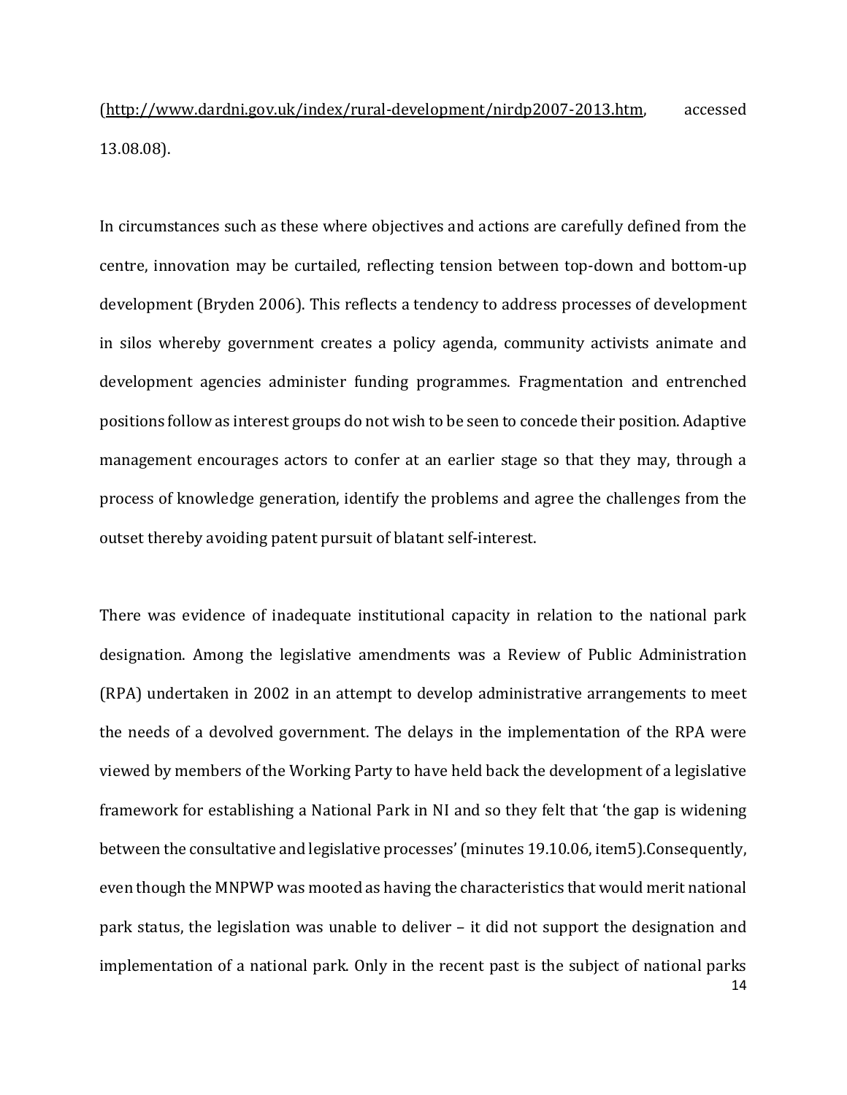[\(http://www.dardni.gov.uk/index/rural-development/nirdp2007-2013.htm,](http://www.dardni.gov.uk/index/rural-development/nirdp2007-2013.htm) accessed 13.08.08).

In circumstances such as these where objectives and actions are carefully defined from the centre, innovation may be curtailed, reflecting tension between top-down and bottom-up development (Bryden 2006). This reflects a tendency to address processes of development in silos whereby government creates a policy agenda, community activists animate and development agencies administer funding programmes. Fragmentation and entrenched positions follow as interest groups do not wish to be seen to concede their position. Adaptive management encourages actors to confer at an earlier stage so that they may, through a process of knowledge generation, identify the problems and agree the challenges from the outset thereby avoiding patent pursuit of blatant self-interest.

14 There was evidence of inadequate institutional capacity in relation to the national park designation. Among the legislative amendments was a Review of Public Administration (RPA) undertaken in 2002 in an attempt to develop administrative arrangements to meet the needs of a devolved government. The delays in the implementation of the RPA were viewed by members of the Working Party to have held back the development of a legislative framework for establishing a National Park in NI and so they felt that 'the gap is widening between the consultative and legislative processes' (minutes 19.10.06, item5).Consequently, even though the MNPWP was mooted as having the characteristics that would merit national park status, the legislation was unable to deliver – it did not support the designation and implementation of a national park. Only in the recent past is the subject of national parks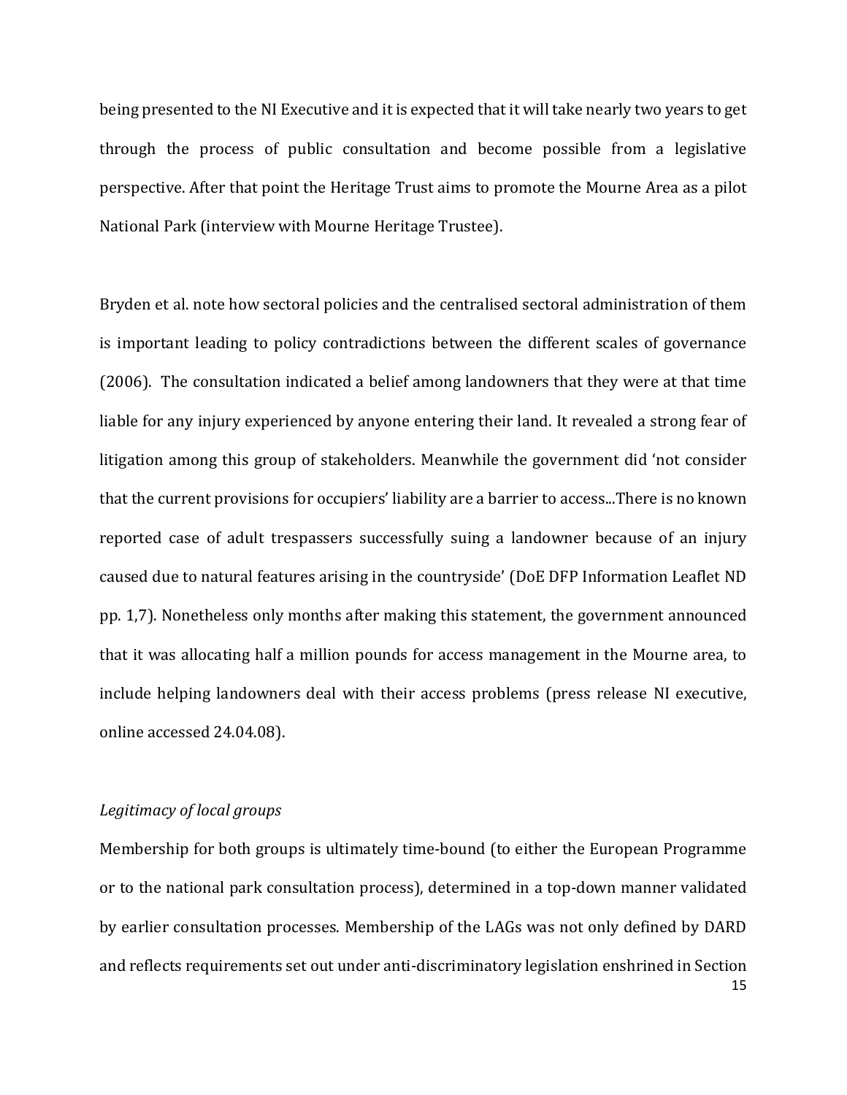being presented to the NI Executive and it is expected that it will take nearly two years to get through the process of public consultation and become possible from a legislative perspective. After that point the Heritage Trust aims to promote the Mourne Area as a pilot National Park (interview with Mourne Heritage Trustee).

Bryden et al. note how sectoral policies and the centralised sectoral administration of them is important leading to policy contradictions between the different scales of governance (2006). The consultation indicated a belief among landowners that they were at that time liable for any injury experienced by anyone entering their land. It revealed a strong fear of litigation among this group of stakeholders. Meanwhile the government did 'not consider that the current provisions for occupiers' liability are a barrier to access...There is no known reported case of adult trespassers successfully suing a landowner because of an injury caused due to natural features arising in the countryside' (DoE DFP Information Leaflet ND pp. 1,7). Nonetheless only months after making this statement, the government announced that it was allocating half a million pounds for access management in the Mourne area, to include helping landowners deal with their access problems (press release NI executive, online accessed 24.04.08).

# *Legitimacy of local groups*

15 Membership for both groups is ultimately time-bound (to either the European Programme or to the national park consultation process), determined in a top-down manner validated by earlier consultation processes. Membership of the LAGs was not only defined by DARD and reflects requirements set out under anti-discriminatory legislation enshrined in Section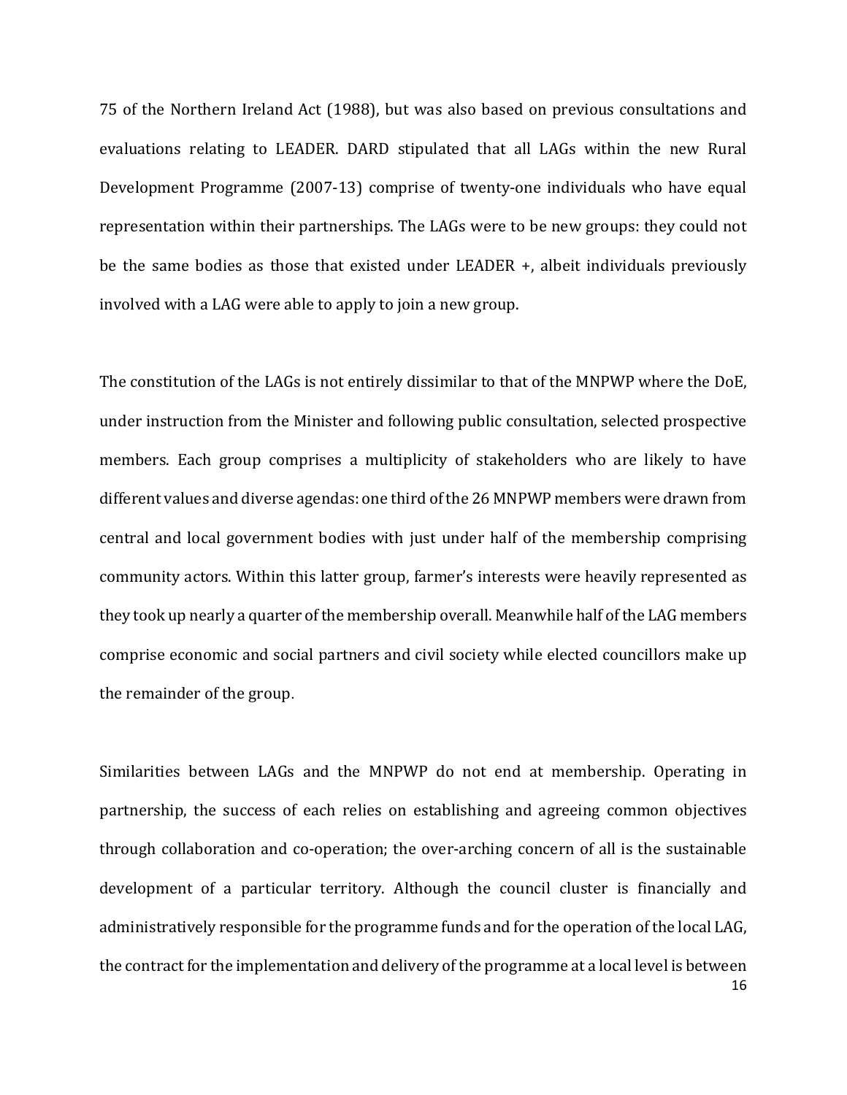75 of the Northern Ireland Act (1988), but was also based on previous consultations and evaluations relating to LEADER. DARD stipulated that all LAGs within the new Rural Development Programme (2007-13) comprise of twenty-one individuals who have equal representation within their partnerships. The LAGs were to be new groups: they could not be the same bodies as those that existed under LEADER +, albeit individuals previously involved with a LAG were able to apply to join a new group.

The constitution of the LAGs is not entirely dissimilar to that of the MNPWP where the DoE, under instruction from the Minister and following public consultation, selected prospective members. Each group comprises a multiplicity of stakeholders who are likely to have different values and diverse agendas: one third of the 26 MNPWP members were drawn from central and local government bodies with just under half of the membership comprising community actors. Within this latter group, farmer's interests were heavily represented as they took up nearly a quarter of the membership overall. Meanwhile half of the LAG members comprise economic and social partners and civil society while elected councillors make up the remainder of the group.

Similarities between LAGs and the MNPWP do not end at membership. Operating in partnership, the success of each relies on establishing and agreeing common objectives through collaboration and co-operation; the over-arching concern of all is the sustainable development of a particular territory. Although the council cluster is financially and administratively responsible for the programme funds and for the operation of the local LAG, the contract for the implementation and delivery of the programme at a local level is between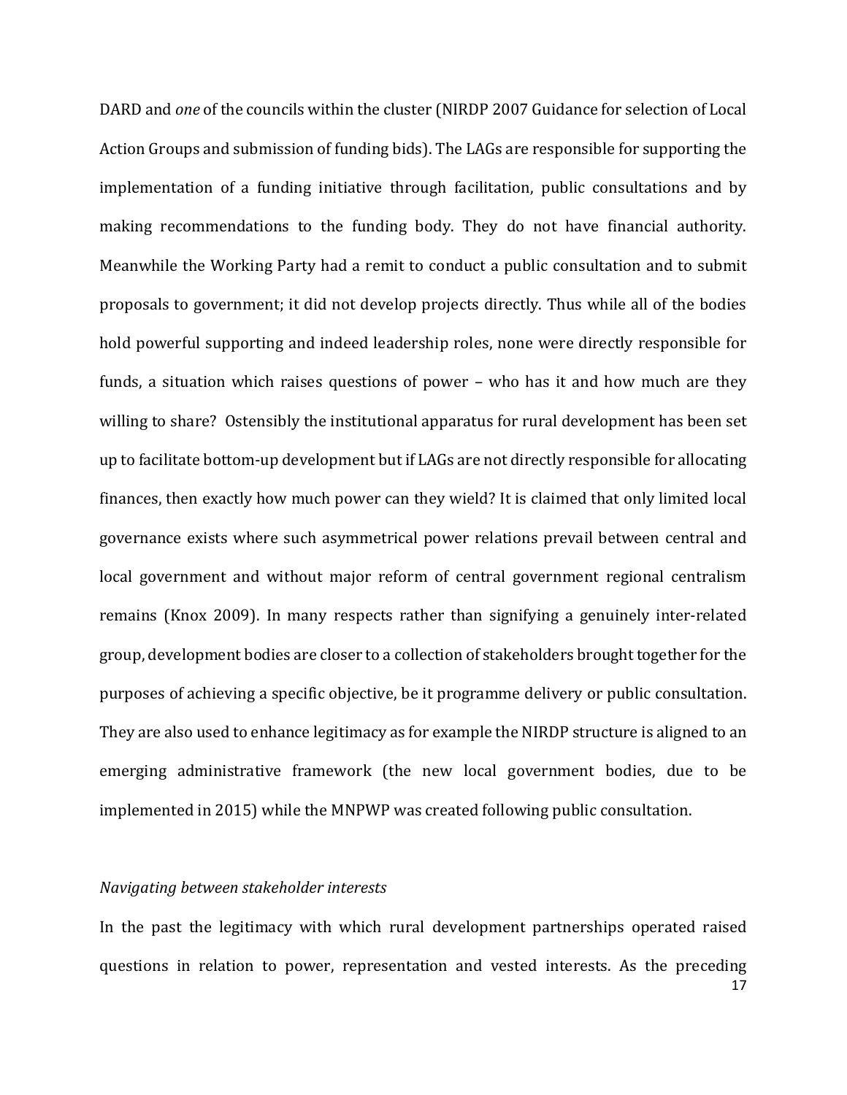DARD and *one* of the councils within the cluster (NIRDP 2007 Guidance for selection of Local Action Groups and submission of funding bids). The LAGs are responsible for supporting the implementation of a funding initiative through facilitation, public consultations and by making recommendations to the funding body. They do not have financial authority. Meanwhile the Working Party had a remit to conduct a public consultation and to submit proposals to government; it did not develop projects directly. Thus while all of the bodies hold powerful supporting and indeed leadership roles, none were directly responsible for funds, a situation which raises questions of power – who has it and how much are they willing to share? Ostensibly the institutional apparatus for rural development has been set up to facilitate bottom-up development but if LAGs are not directly responsible for allocating finances, then exactly how much power can they wield? It is claimed that only limited local governance exists where such asymmetrical power relations prevail between central and local government and without major reform of central government regional centralism remains (Knox 2009). In many respects rather than signifying a genuinely inter-related group, development bodies are closer to a collection of stakeholders brought together for the purposes of achieving a specific objective, be it programme delivery or public consultation. They are also used to enhance legitimacy as for example the NIRDP structure is aligned to an emerging administrative framework (the new local government bodies, due to be implemented in 2015) while the MNPWP was created following public consultation.

#### *Navigating between stakeholder interests*

17 In the past the legitimacy with which rural development partnerships operated raised questions in relation to power, representation and vested interests. As the preceding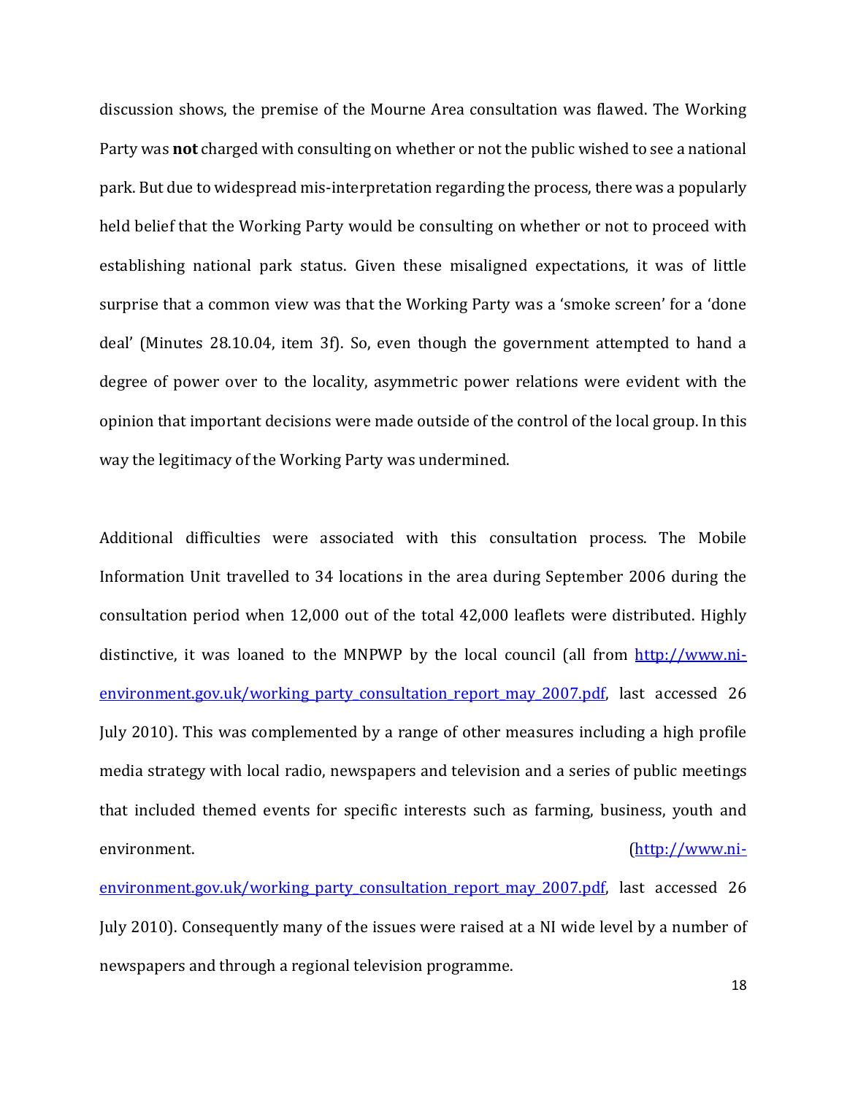discussion shows, the premise of the Mourne Area consultation was flawed. The Working Party was **not** charged with consulting on whether or not the public wished to see a national park. But due to widespread mis-interpretation regarding the process, there was a popularly held belief that the Working Party would be consulting on whether or not to proceed with establishing national park status. Given these misaligned expectations, it was of little surprise that a common view was that the Working Party was a 'smoke screen' for a 'done deal' (Minutes 28.10.04, item 3f). So, even though the government attempted to hand a degree of power over to the locality, asymmetric power relations were evident with the opinion that important decisions were made outside of the control of the local group. In this way the legitimacy of the Working Party was undermined.

Additional difficulties were associated with this consultation process. The Mobile Information Unit travelled to 34 locations in the area during September 2006 during the consultation period when 12,000 out of the total 42,000 leaflets were distributed. Highly distinctive, it was loaned to the MNPWP by the local council (all from [http://www.ni](http://www.ni-environment.gov.uk/working_party_consultation_report_may_2007.pdf)environment.gov.uk/working party consultation report may 2007.pdf, last accessed 26 July 2010). This was complemented by a range of other measures including a high profile media strategy with local radio, newspapers and television and a series of public meetings that included themed events for specific interests such as farming, business, youth and environment. [\(http://www.ni-](http://www.ni-environment.gov.uk/working_party_consultation_report_may_2007.pdf)

[environment.gov.uk/working\\_party\\_consultation\\_report\\_may\\_2007.pdf,](http://www.ni-environment.gov.uk/working_party_consultation_report_may_2007.pdf) last accessed 26 July 2010). Consequently many of the issues were raised at a NI wide level by a number of newspapers and through a regional television programme.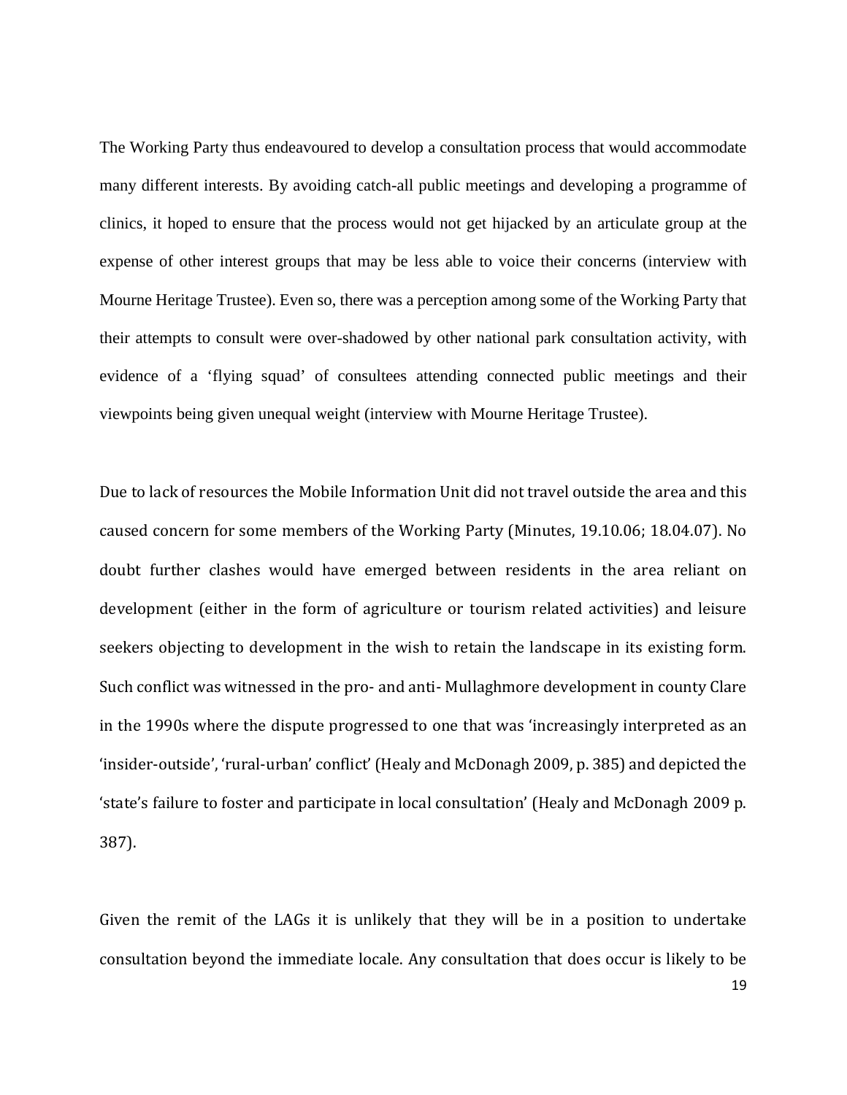The Working Party thus endeavoured to develop a consultation process that would accommodate many different interests. By avoiding catch-all public meetings and developing a programme of clinics, it hoped to ensure that the process would not get hijacked by an articulate group at the expense of other interest groups that may be less able to voice their concerns (interview with Mourne Heritage Trustee). Even so, there was a perception among some of the Working Party that their attempts to consult were over-shadowed by other national park consultation activity, with evidence of a 'flying squad' of consultees attending connected public meetings and their viewpoints being given unequal weight (interview with Mourne Heritage Trustee).

Due to lack of resources the Mobile Information Unit did not travel outside the area and this caused concern for some members of the Working Party (Minutes, 19.10.06; 18.04.07). No doubt further clashes would have emerged between residents in the area reliant on development (either in the form of agriculture or tourism related activities) and leisure seekers objecting to development in the wish to retain the landscape in its existing form. Such conflict was witnessed in the pro- and anti- Mullaghmore development in county Clare in the 1990s where the dispute progressed to one that was 'increasingly interpreted as an 'insider-outside', 'rural-urban' conflict' (Healy and McDonagh 2009, p. 385) and depicted the 'state's failure to foster and participate in local consultation' (Healy and McDonagh 2009 p. 387).

Given the remit of the LAGs it is unlikely that they will be in a position to undertake consultation beyond the immediate locale. Any consultation that does occur is likely to be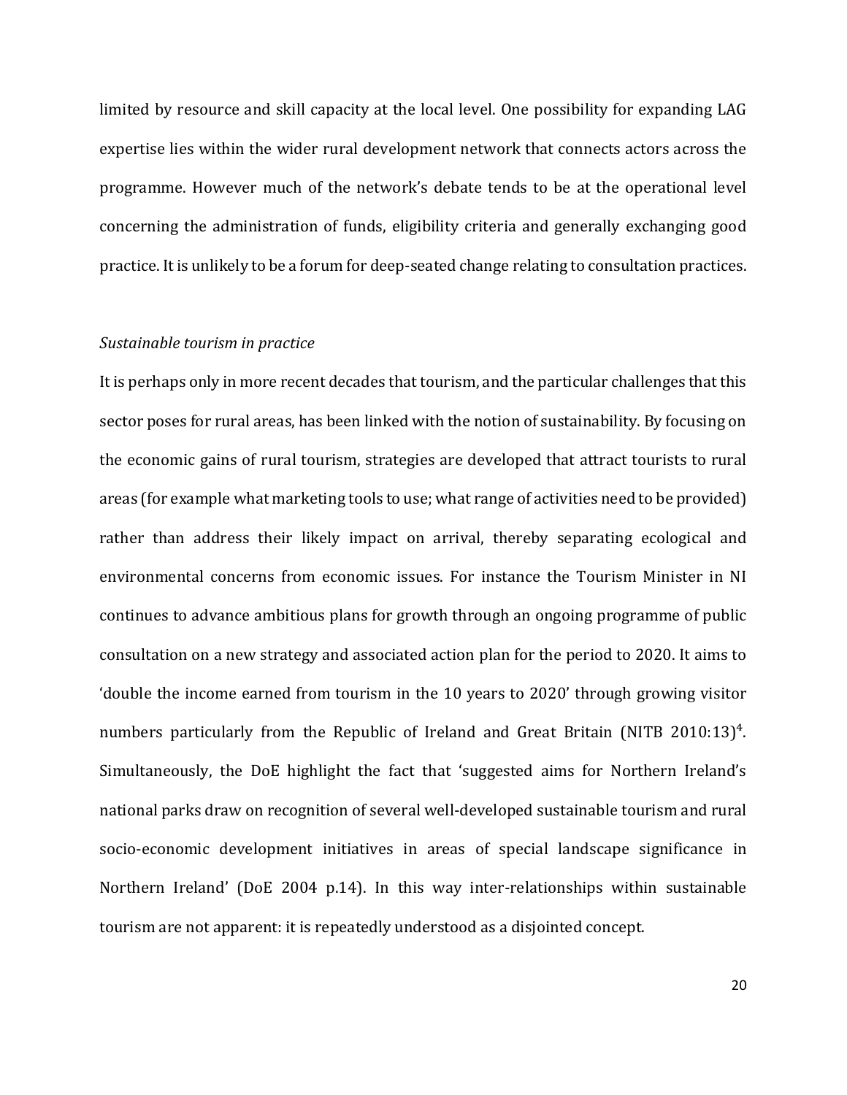limited by resource and skill capacity at the local level. One possibility for expanding LAG expertise lies within the wider rural development network that connects actors across the programme. However much of the network's debate tends to be at the operational level concerning the administration of funds, eligibility criteria and generally exchanging good practice. It is unlikely to be a forum for deep-seated change relating to consultation practices.

#### *Sustainable tourism in practice*

It is perhaps only in more recent decades that tourism, and the particular challenges that this sector poses for rural areas, has been linked with the notion of sustainability. By focusing on the economic gains of rural tourism, strategies are developed that attract tourists to rural areas (for example what marketing tools to use; what range of activities need to be provided) rather than address their likely impact on arrival, thereby separating ecological and environmental concerns from economic issues. For instance the Tourism Minister in NI continues to advance ambitious plans for growth through an ongoing programme of public consultation on a new strategy and associated action plan for the period to 2020. It aims to 'double the income earned from tourism in the 10 years to 2020' through growing visitor numbers particularly from the Republic of Ireland and Great Britain (NITB 2010:13)<sup>4</sup>. Simultaneously, the DoE highlight the fact that 'suggested aims for Northern Ireland's national parks draw on recognition of several well-developed sustainable tourism and rural socio-economic development initiatives in areas of special landscape significance in Northern Ireland' (DoE 2004 p.14). In this way inter-relationships within sustainable tourism are not apparent: it is repeatedly understood as a disjointed concept.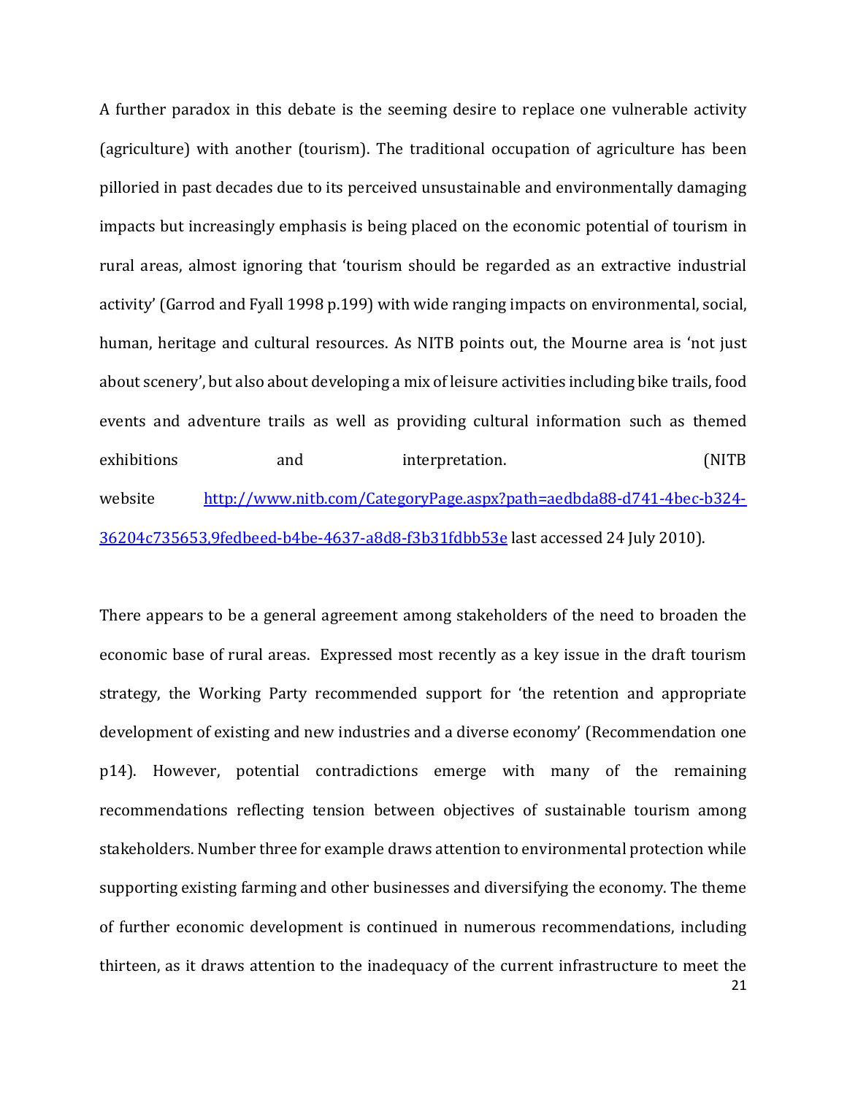A further paradox in this debate is the seeming desire to replace one vulnerable activity (agriculture) with another (tourism). The traditional occupation of agriculture has been pilloried in past decades due to its perceived unsustainable and environmentally damaging impacts but increasingly emphasis is being placed on the economic potential of tourism in rural areas, almost ignoring that 'tourism should be regarded as an extractive industrial activity' (Garrod and Fyall 1998 p.199) with wide ranging impacts on environmental, social, human, heritage and cultural resources. As NITB points out, the Mourne area is 'not just about scenery', but also about developing a mix of leisure activities including bike trails, food events and adventure trails as well as providing cultural information such as themed exhibitions and interpretation. (NITB website [http://www.nitb.com/CategoryPage.aspx?path=aedbda88-d741-4bec-b324-](http://www.nitb.com/CategoryPage.aspx?path=aedbda88-d741-4bec-b324-36204c735653,9fedbeed-b4be-4637-a8d8-f3b31fdbb53e) [36204c735653,9fedbeed-b4be-4637-a8d8-f3b31fdbb53e](http://www.nitb.com/CategoryPage.aspx?path=aedbda88-d741-4bec-b324-36204c735653,9fedbeed-b4be-4637-a8d8-f3b31fdbb53e) last accessed 24 July 2010).

21 There appears to be a general agreement among stakeholders of the need to broaden the economic base of rural areas. Expressed most recently as a key issue in the draft tourism strategy, the Working Party recommended support for 'the retention and appropriate development of existing and new industries and a diverse economy' (Recommendation one p14). However, potential contradictions emerge with many of the remaining recommendations reflecting tension between objectives of sustainable tourism among stakeholders. Number three for example draws attention to environmental protection while supporting existing farming and other businesses and diversifying the economy. The theme of further economic development is continued in numerous recommendations, including thirteen, as it draws attention to the inadequacy of the current infrastructure to meet the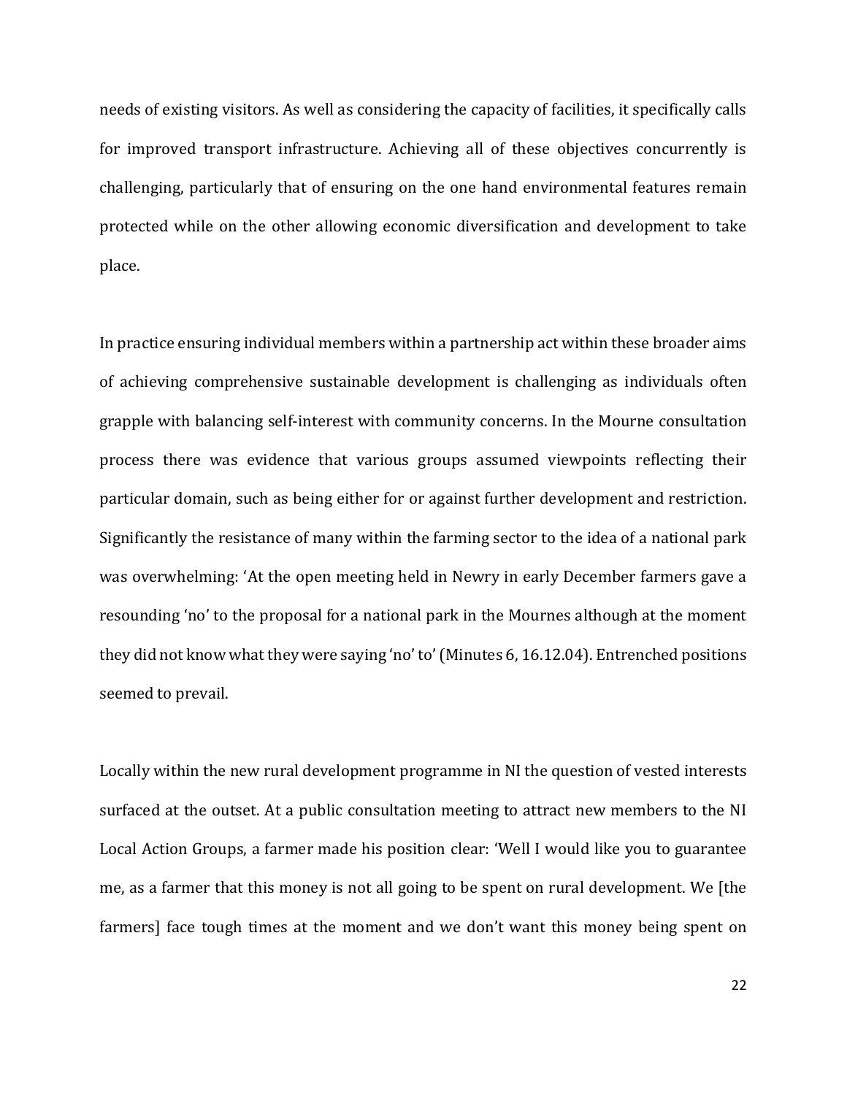needs of existing visitors. As well as considering the capacity of facilities, it specifically calls for improved transport infrastructure. Achieving all of these objectives concurrently is challenging, particularly that of ensuring on the one hand environmental features remain protected while on the other allowing economic diversification and development to take place.

In practice ensuring individual members within a partnership act within these broader aims of achieving comprehensive sustainable development is challenging as individuals often grapple with balancing self-interest with community concerns. In the Mourne consultation process there was evidence that various groups assumed viewpoints reflecting their particular domain, such as being either for or against further development and restriction. Significantly the resistance of many within the farming sector to the idea of a national park was overwhelming: 'At the open meeting held in Newry in early December farmers gave a resounding 'no' to the proposal for a national park in the Mournes although at the moment they did not know what they were saying 'no' to' (Minutes 6, 16.12.04). Entrenched positions seemed to prevail.

Locally within the new rural development programme in NI the question of vested interests surfaced at the outset. At a public consultation meeting to attract new members to the NI Local Action Groups, a farmer made his position clear: 'Well I would like you to guarantee me, as a farmer that this money is not all going to be spent on rural development. We [the farmers] face tough times at the moment and we don't want this money being spent on

22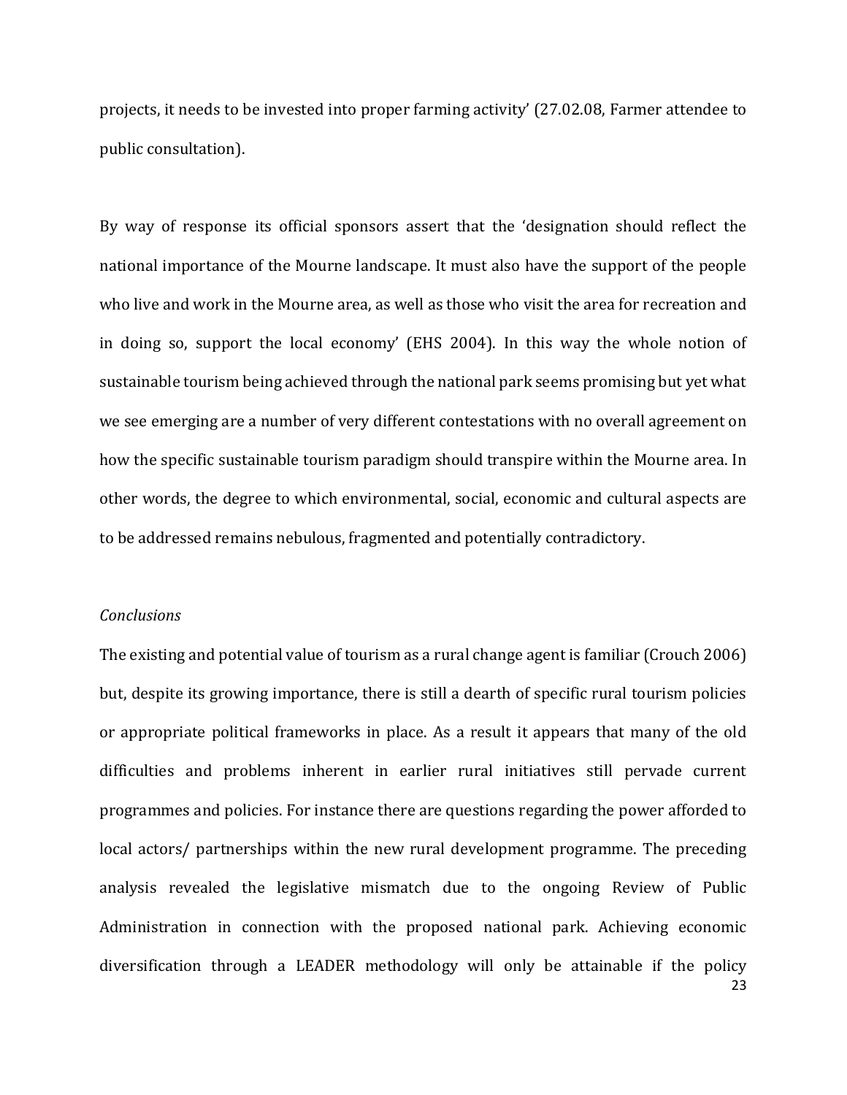projects, it needs to be invested into proper farming activity' (27.02.08, Farmer attendee to public consultation).

By way of response its official sponsors assert that the 'designation should reflect the national importance of the Mourne landscape. It must also have the support of the people who live and work in the Mourne area, as well as those who visit the area for recreation and in doing so, support the local economy' (EHS 2004). In this way the whole notion of sustainable tourism being achieved through the national park seems promising but yet what we see emerging are a number of very different contestations with no overall agreement on how the specific sustainable tourism paradigm should transpire within the Mourne area. In other words, the degree to which environmental, social, economic and cultural aspects are to be addressed remains nebulous, fragmented and potentially contradictory.

#### *Conclusions*

23 The existing and potential value of tourism as a rural change agent is familiar (Crouch 2006) but, despite its growing importance, there is still a dearth of specific rural tourism policies or appropriate political frameworks in place. As a result it appears that many of the old difficulties and problems inherent in earlier rural initiatives still pervade current programmes and policies. For instance there are questions regarding the power afforded to local actors/ partnerships within the new rural development programme. The preceding analysis revealed the legislative mismatch due to the ongoing Review of Public Administration in connection with the proposed national park. Achieving economic diversification through a LEADER methodology will only be attainable if the policy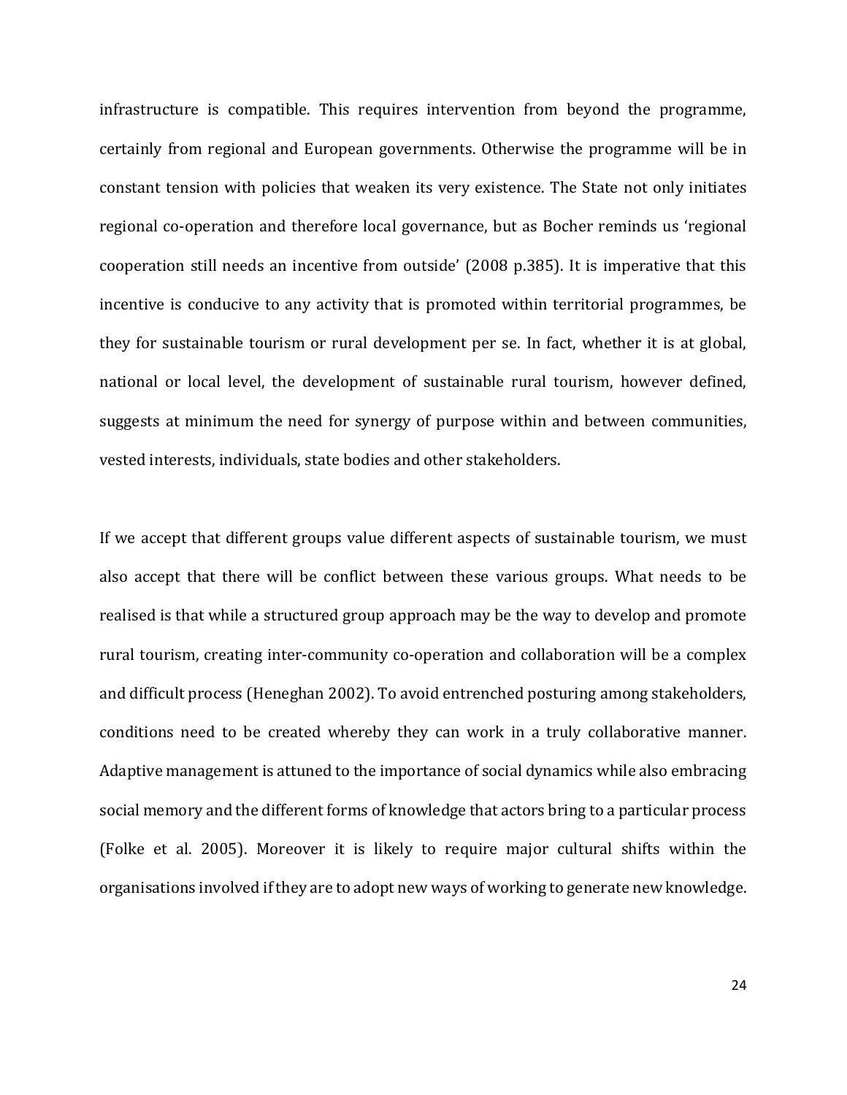infrastructure is compatible. This requires intervention from beyond the programme, certainly from regional and European governments. Otherwise the programme will be in constant tension with policies that weaken its very existence. The State not only initiates regional co-operation and therefore local governance, but as Bocher reminds us 'regional cooperation still needs an incentive from outside' (2008 p.385). It is imperative that this incentive is conducive to any activity that is promoted within territorial programmes, be they for sustainable tourism or rural development per se. In fact, whether it is at global, national or local level, the development of sustainable rural tourism, however defined, suggests at minimum the need for synergy of purpose within and between communities, vested interests, individuals, state bodies and other stakeholders.

If we accept that different groups value different aspects of sustainable tourism, we must also accept that there will be conflict between these various groups. What needs to be realised is that while a structured group approach may be the way to develop and promote rural tourism, creating inter-community co-operation and collaboration will be a complex and difficult process (Heneghan 2002). To avoid entrenched posturing among stakeholders, conditions need to be created whereby they can work in a truly collaborative manner. Adaptive management is attuned to the importance of social dynamics while also embracing social memory and the different forms of knowledge that actors bring to a particular process (Folke et al. 2005). Moreover it is likely to require major cultural shifts within the organisations involved if they are to adopt new ways of working to generate new knowledge.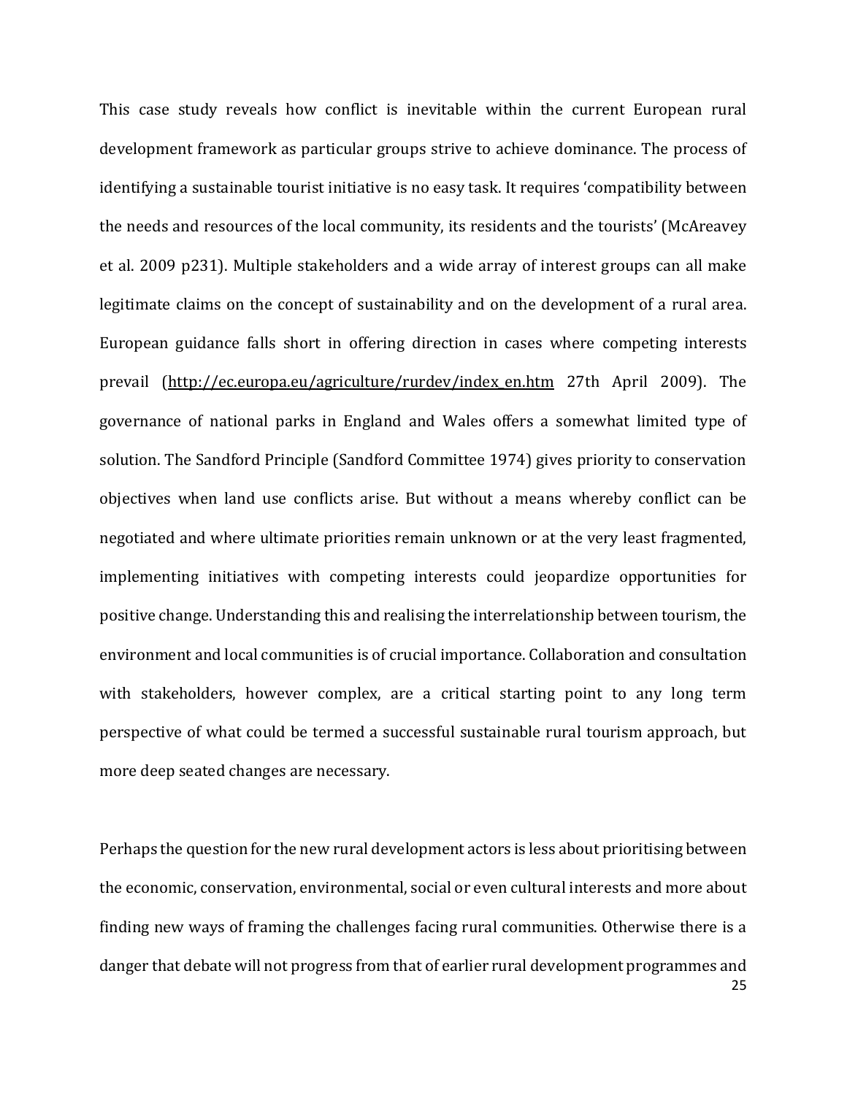This case study reveals how conflict is inevitable within the current European rural development framework as particular groups strive to achieve dominance. The process of identifying a sustainable tourist initiative is no easy task. It requires 'compatibility between the needs and resources of the local community, its residents and the tourists' (McAreavey et al. 2009 p231). Multiple stakeholders and a wide array of interest groups can all make legitimate claims on the concept of sustainability and on the development of a rural area. European guidance falls short in offering direction in cases where competing interests prevail [\(http://ec.europa.eu/agriculture/rurdev/index\\_en.htm](http://ec.europa.eu/agriculture/rurdev/index_en.htm) 27th April 2009). The governance of national parks in England and Wales offers a somewhat limited type of solution. The Sandford Principle (Sandford Committee 1974) gives priority to conservation objectives when land use conflicts arise. But without a means whereby conflict can be negotiated and where ultimate priorities remain unknown or at the very least fragmented, implementing initiatives with competing interests could jeopardize opportunities for positive change. Understanding this and realising the interrelationship between tourism, the environment and local communities is of crucial importance. Collaboration and consultation with stakeholders, however complex, are a critical starting point to any long term perspective of what could be termed a successful sustainable rural tourism approach, but more deep seated changes are necessary.

25 Perhaps the question for the new rural development actors is less about prioritising between the economic, conservation, environmental, social or even cultural interests and more about finding new ways of framing the challenges facing rural communities. Otherwise there is a danger that debate will not progress from that of earlier rural development programmes and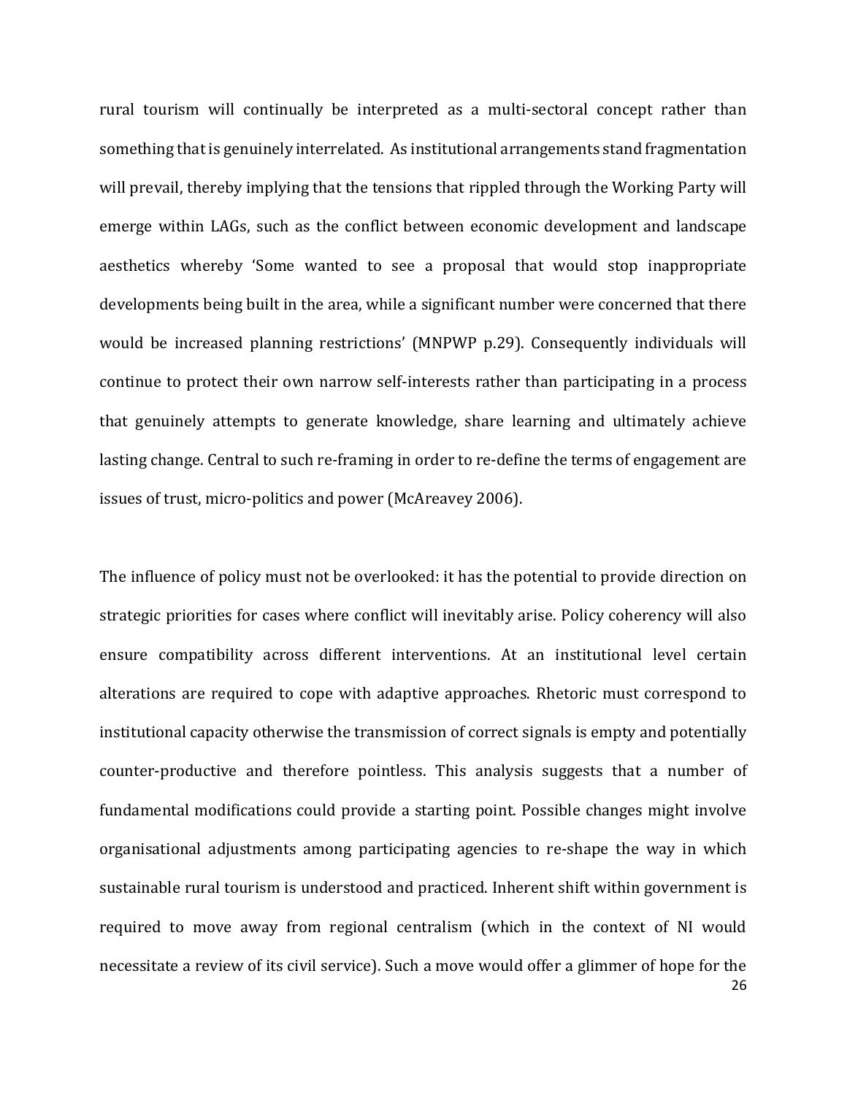rural tourism will continually be interpreted as a multi-sectoral concept rather than something that is genuinely interrelated. As institutional arrangements stand fragmentation will prevail, thereby implying that the tensions that rippled through the Working Party will emerge within LAGs, such as the conflict between economic development and landscape aesthetics whereby 'Some wanted to see a proposal that would stop inappropriate developments being built in the area, while a significant number were concerned that there would be increased planning restrictions' (MNPWP p.29). Consequently individuals will continue to protect their own narrow self-interests rather than participating in a process that genuinely attempts to generate knowledge, share learning and ultimately achieve lasting change. Central to such re-framing in order to re-define the terms of engagement are issues of trust, micro-politics and power (McAreavey 2006).

26 The influence of policy must not be overlooked: it has the potential to provide direction on strategic priorities for cases where conflict will inevitably arise. Policy coherency will also ensure compatibility across different interventions. At an institutional level certain alterations are required to cope with adaptive approaches. Rhetoric must correspond to institutional capacity otherwise the transmission of correct signals is empty and potentially counter-productive and therefore pointless. This analysis suggests that a number of fundamental modifications could provide a starting point. Possible changes might involve organisational adjustments among participating agencies to re-shape the way in which sustainable rural tourism is understood and practiced. Inherent shift within government is required to move away from regional centralism (which in the context of NI would necessitate a review of its civil service). Such a move would offer a glimmer of hope for the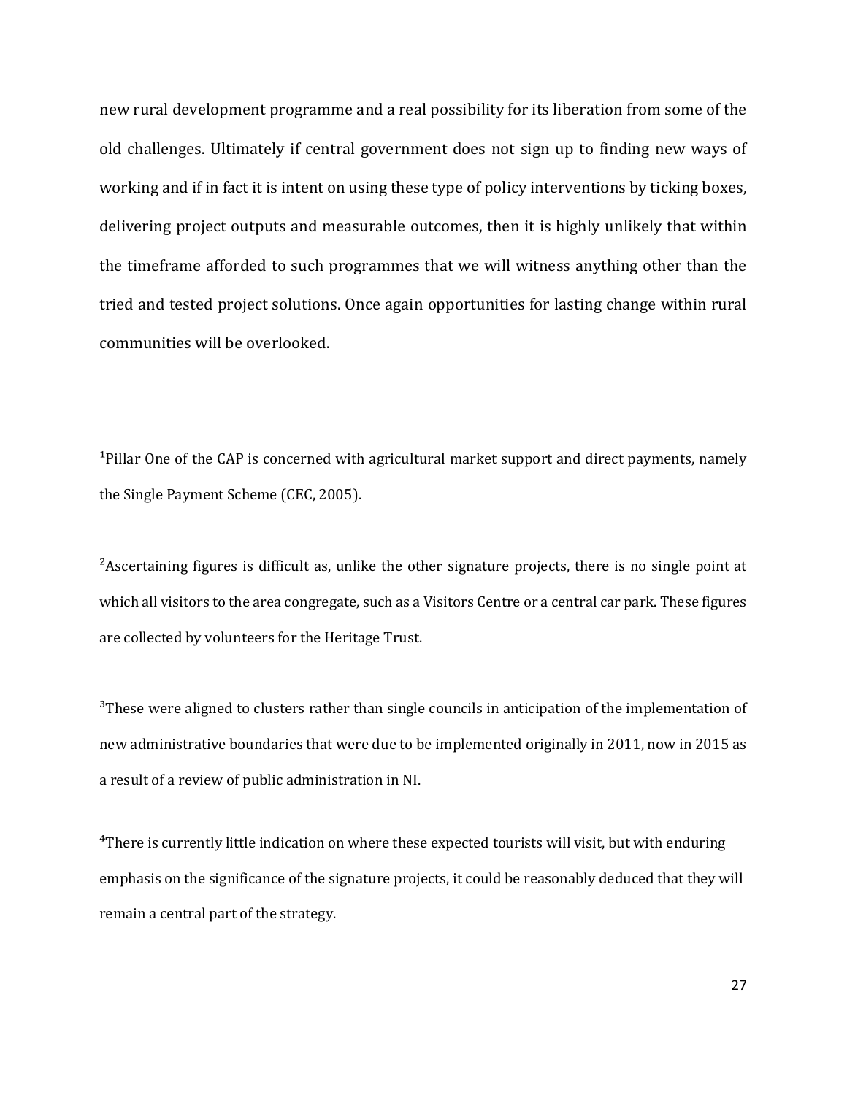new rural development programme and a real possibility for its liberation from some of the old challenges. Ultimately if central government does not sign up to finding new ways of working and if in fact it is intent on using these type of policy interventions by ticking boxes, delivering project outputs and measurable outcomes, then it is highly unlikely that within the timeframe afforded to such programmes that we will witness anything other than the tried and tested project solutions. Once again opportunities for lasting change within rural communities will be overlooked.

<sup>1</sup>Pillar One of the CAP is concerned with agricultural market support and direct payments, namely the Single Payment Scheme (CEC, 2005).

<sup>2</sup>Ascertaining figures is difficult as, unlike the other signature projects, there is no single point at which all visitors to the area congregate, such as a Visitors Centre or a central car park. These figures are collected by volunteers for the Heritage Trust.

<sup>3</sup>These were aligned to clusters rather than single councils in anticipation of the implementation of new administrative boundaries that were due to be implemented originally in 2011, now in 2015 as a result of a review of public administration in NI.

⁴There is currently little indication on where these expected tourists will visit, but with enduring emphasis on the significance of the signature projects, it could be reasonably deduced that they will remain a central part of the strategy.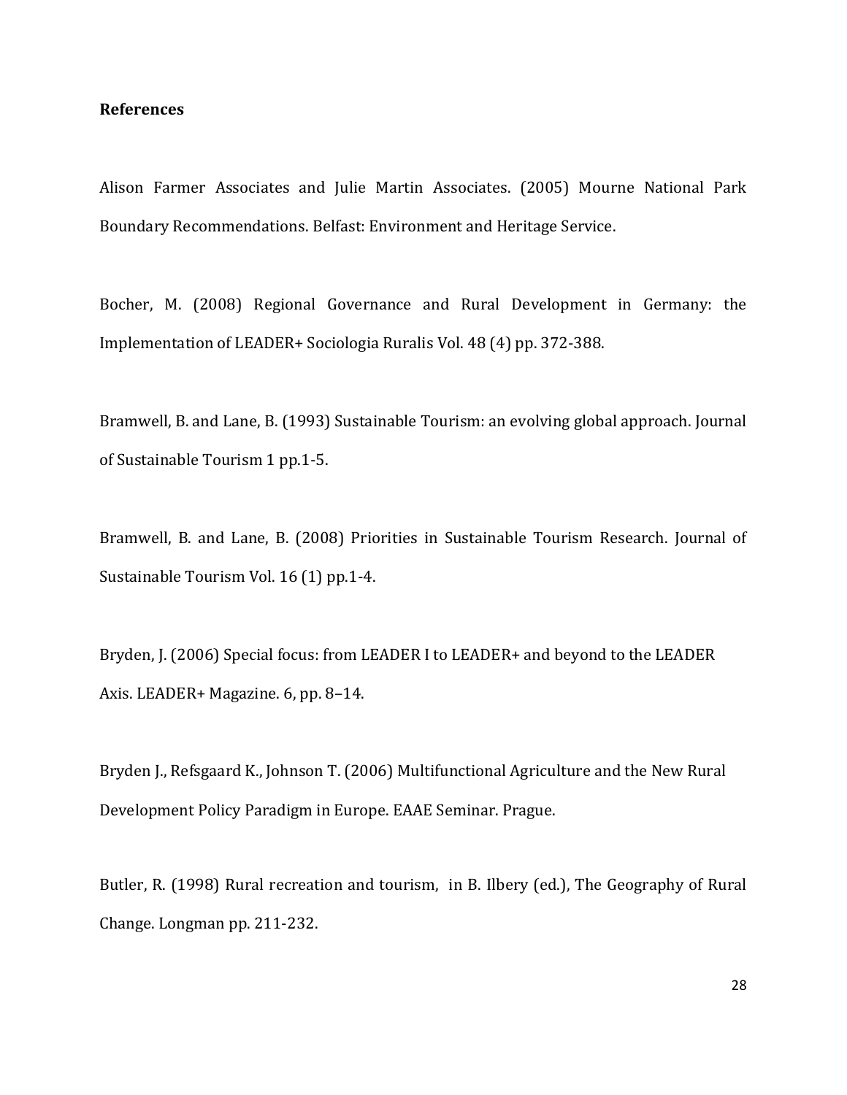# **References**

Alison Farmer Associates and Julie Martin Associates. (2005) Mourne National Park Boundary Recommendations. Belfast: Environment and Heritage Service.

Bocher, M. (2008) Regional Governance and Rural Development in Germany: the Implementation of LEADER+ Sociologia Ruralis Vol. 48 (4) pp. 372-388.

Bramwell, B. and Lane, B. (1993) Sustainable Tourism: an evolving global approach. Journal of Sustainable Tourism 1 pp.1-5.

Bramwell, B. and Lane, B. (2008) Priorities in Sustainable Tourism Research. Journal of Sustainable Tourism Vol. 16 (1) pp.1-4.

Bryden, J. (2006) Special focus: from LEADER I to LEADER+ and beyond to the LEADER Axis. LEADER+ Magazine. 6, pp. 8–14.

Bryden J., Refsgaard K., Johnson T. (2006) Multifunctional Agriculture and the New Rural Development Policy Paradigm in Europe. EAAE Seminar. Prague.

Butler, R. (1998) Rural recreation and tourism, in B. Ilbery (ed.), The Geography of Rural Change. Longman pp. 211-232.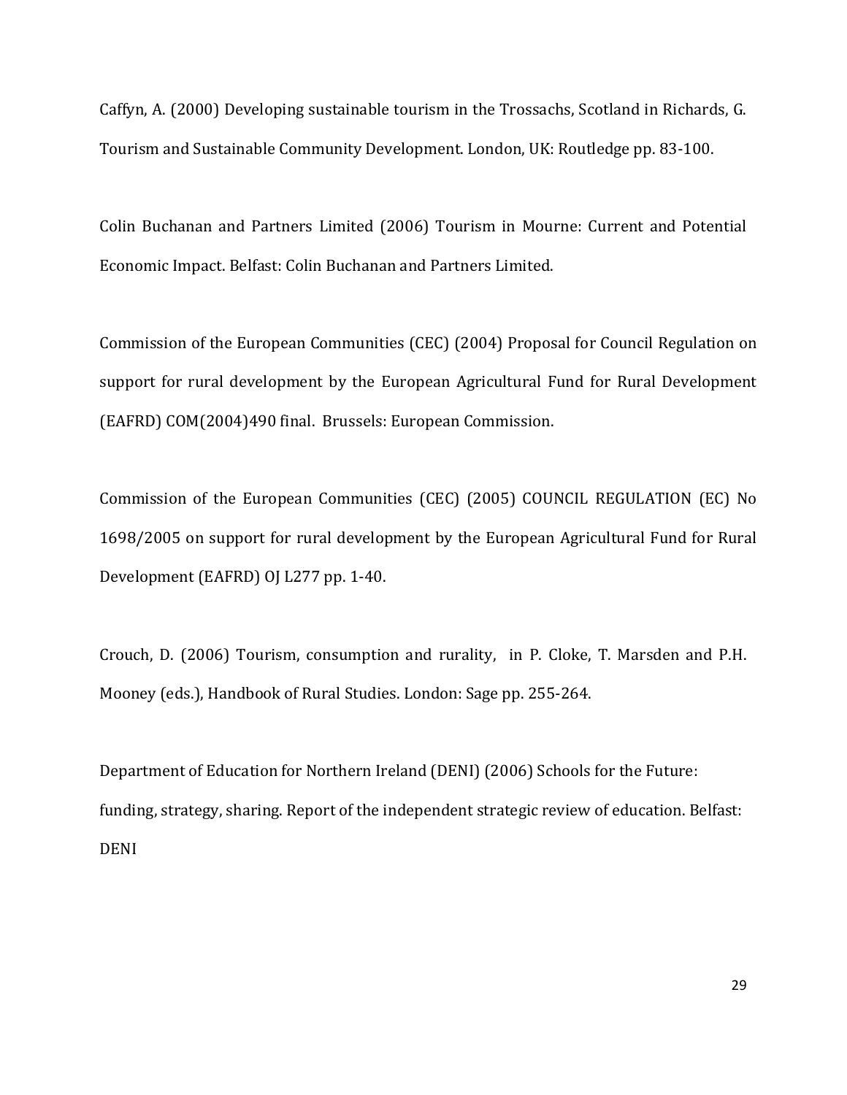Caffyn, A. (2000) Developing sustainable tourism in the Trossachs, Scotland in Richards, G. Tourism and Sustainable Community Development. London, UK: Routledge pp. 83-100.

Colin Buchanan and Partners Limited (2006) Tourism in Mourne: Current and Potential Economic Impact. Belfast: Colin Buchanan and Partners Limited.

Commission of the European Communities (CEC) (2004) Proposal for Council Regulation on support for rural development by the European Agricultural Fund for Rural Development (EAFRD) COM(2004)490 final. Brussels: European Commission.

Commission of the European Communities (CEC) (2005) COUNCIL REGULATION (EC) No 1698/2005 on support for rural development by the European Agricultural Fund for Rural Development (EAFRD) OJ L277 pp. 1-40.

Crouch, D. (2006) Tourism, consumption and rurality, in P. Cloke, T. Marsden and P.H. Mooney (eds.), Handbook of Rural Studies. London: Sage pp. 255-264.

Department of Education for Northern Ireland (DENI) (2006) Schools for the Future: funding, strategy, sharing. Report of the independent strategic review of education. Belfast: DENI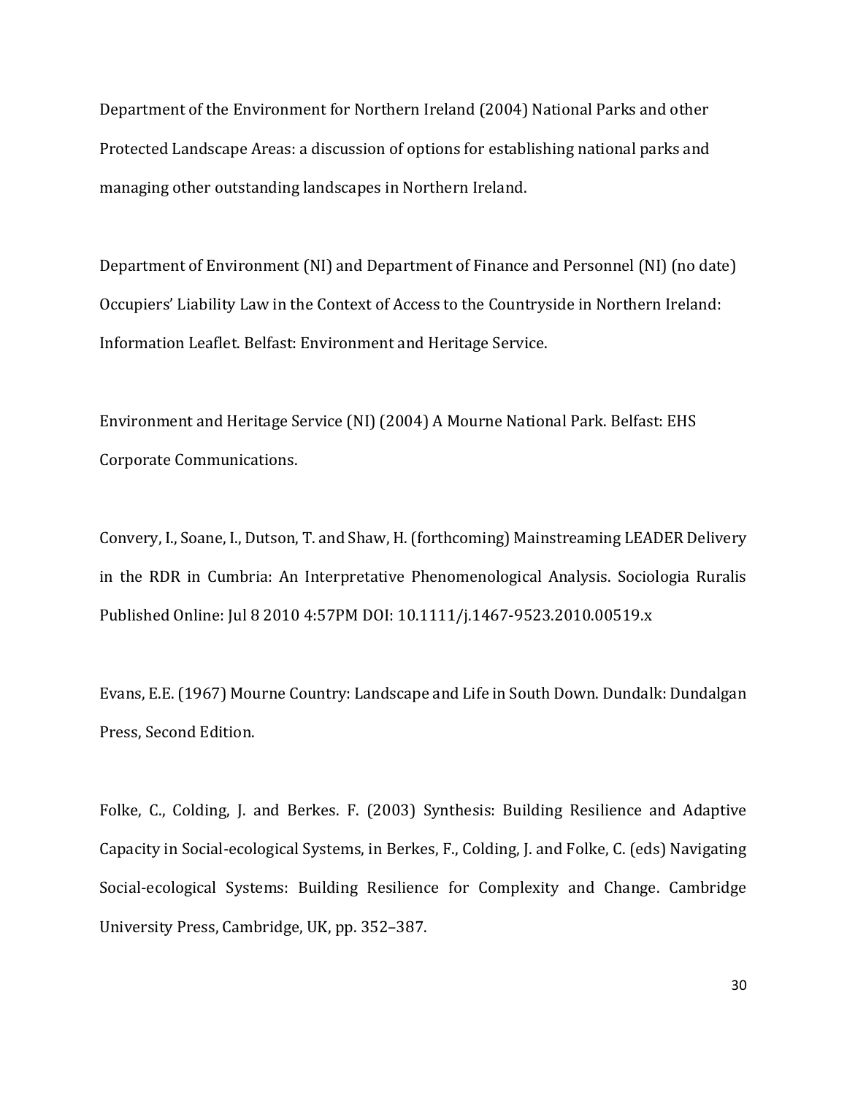Department of the Environment for Northern Ireland (2004) National Parks and other Protected Landscape Areas: a discussion of options for establishing national parks and managing other outstanding landscapes in Northern Ireland.

Department of Environment (NI) and Department of Finance and Personnel (NI) (no date) Occupiers' Liability Law in the Context of Access to the Countryside in Northern Ireland: Information Leaflet. Belfast: Environment and Heritage Service.

Environment and Heritage Service (NI) (2004) A Mourne National Park. Belfast: EHS Corporate Communications.

Convery, I., Soane, I., Dutson, T. and Shaw, H. (forthcoming) Mainstreaming LEADER Delivery in the RDR in Cumbria: An Interpretative Phenomenological Analysis. Sociologia Ruralis Published Online: Jul 8 2010 4:57PM DOI: 10.1111/j.1467-9523.2010.00519.x

Evans, E.E. (1967) Mourne Country: Landscape and Life in South Down. Dundalk: Dundalgan Press, Second Edition.

Folke, C., Colding, J. and Berkes. F. (2003) Synthesis: Building Resilience and Adaptive Capacity in Social-ecological Systems, in Berkes, F., Colding, J. and Folke, C. (eds) Navigating Social-ecological Systems: Building Resilience for Complexity and Change. Cambridge University Press, Cambridge, UK, pp. 352–387.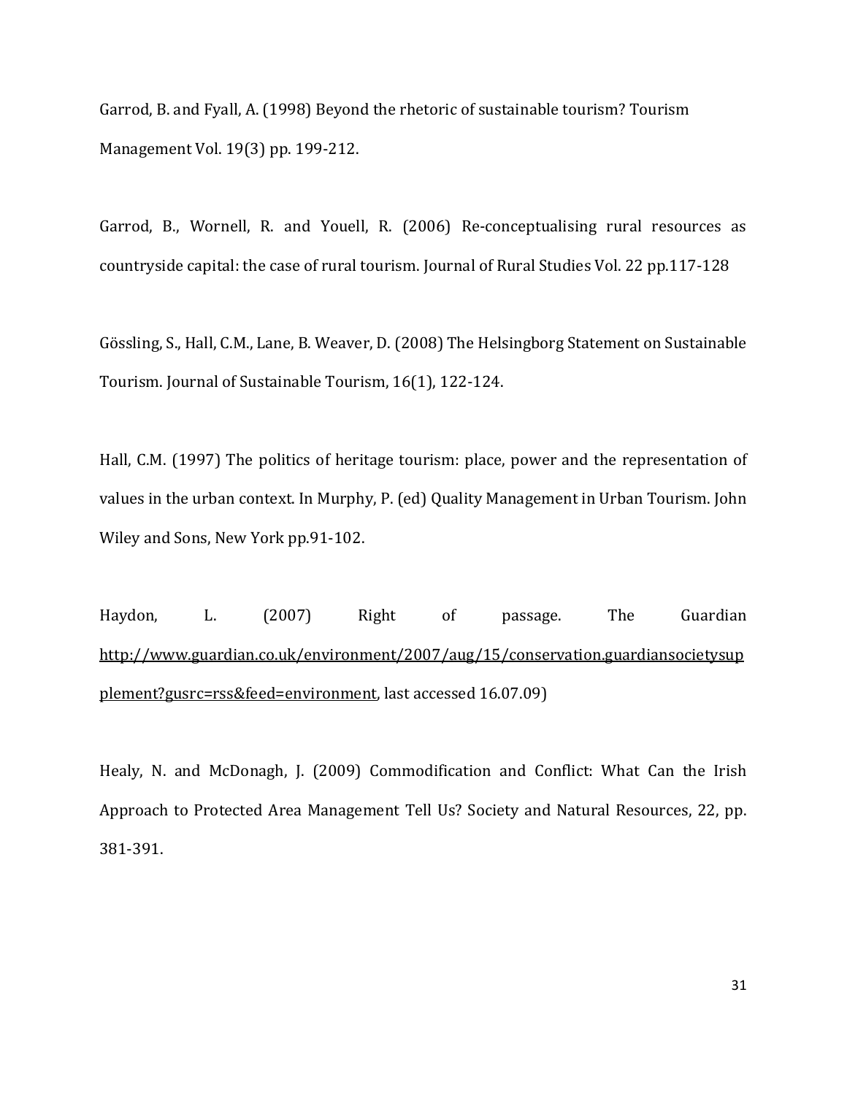Garrod, B. and Fyall, A. (1998) Beyond the rhetoric of sustainable tourism? Tourism Management Vol. 19(3) pp. 199-212.

Garrod, B., Wornell, R. and Youell, R. (2006) Re-conceptualising rural resources as countryside capital: the case of rural tourism. Journal of Rural Studies Vol. 22 pp.117-128

Gössling, S., Hall, C.M., Lane, B. Weaver, D. (2008) The Helsingborg Statement on Sustainable Tourism. Journal of Sustainable Tourism, 16(1), 122-124.

Hall, C.M. (1997) The politics of heritage tourism: place, power and the representation of values in the urban context. In Murphy, P. (ed) Quality Management in Urban Tourism. John Wiley and Sons, New York pp.91-102.

Haydon, L. (2007) Right of passage. The Guardian [http://www.guardian.co.uk/environment/2007/aug/15/conservation.guardiansocietysup](http://www.guardian.co.uk/environment/2007/aug/15/conservation.guardiansocietysupplement?gusrc=rss&feed=environment) [plement?gusrc=rss&feed=environment,](http://www.guardian.co.uk/environment/2007/aug/15/conservation.guardiansocietysupplement?gusrc=rss&feed=environment) last accessed 16.07.09)

Healy, N. and McDonagh, J. (2009) Commodification and Conflict: What Can the Irish Approach to Protected Area Management Tell Us? Society and Natural Resources, 22, pp. 381-391.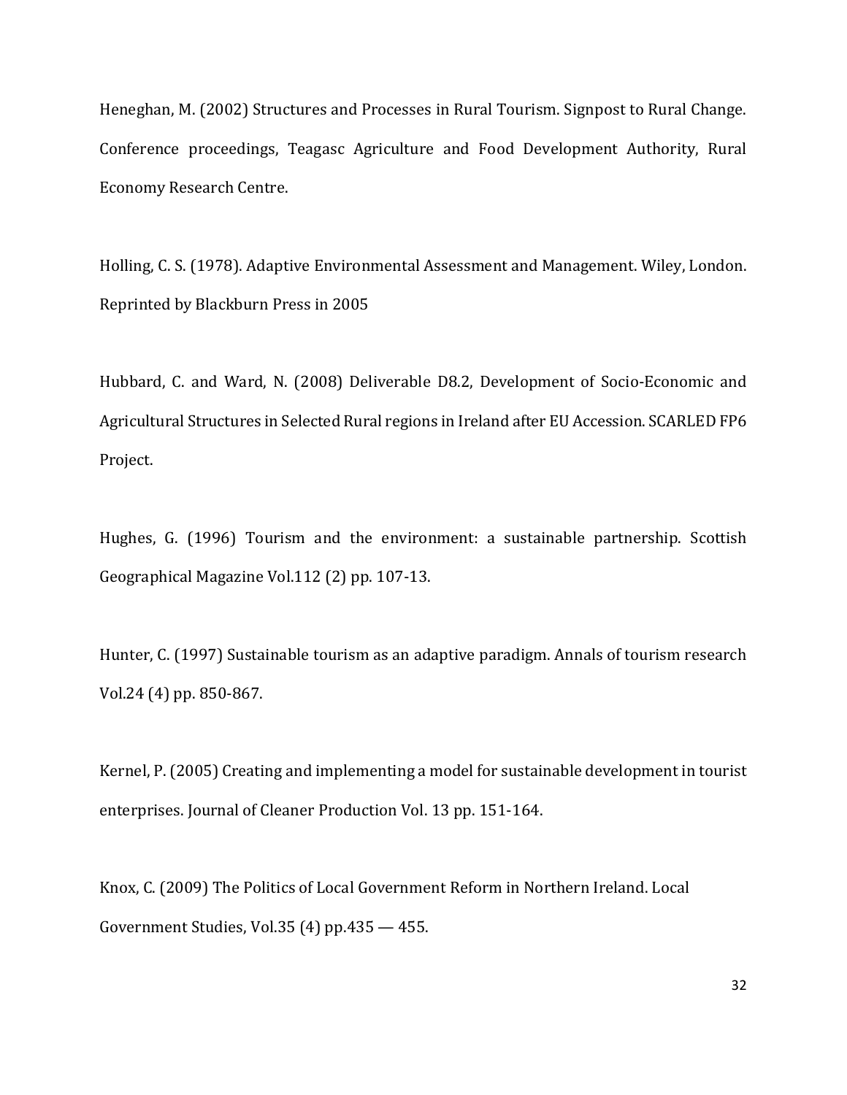Heneghan, M. (2002) Structures and Processes in Rural Tourism. Signpost to Rural Change. Conference proceedings, Teagasc Agriculture and Food Development Authority, Rural Economy Research Centre.

Holling, C. S. (1978). Adaptive Environmental Assessment and Management. Wiley, London. Reprinted by Blackburn Press in 2005

Hubbard, C. and Ward, N. (2008) Deliverable D8.2, Development of Socio-Economic and Agricultural Structures in Selected Rural regions in Ireland after EU Accession. SCARLED FP6 Project.

Hughes, G. (1996) Tourism and the environment: a sustainable partnership. Scottish Geographical Magazine Vol.112 (2) pp. 107-13.

Hunter, C. (1997) Sustainable tourism as an adaptive paradigm. Annals of tourism research Vol.24 (4) pp. 850-867.

Kernel, P. (2005) Creating and implementing a model for sustainable development in tourist enterprises. Journal of Cleaner Production Vol. 13 pp. 151-164.

Knox, C. (2009) The Politics of Local Government Reform in Northern Ireland. Local Government Studies, Vol.35 (4) pp.435 — 455.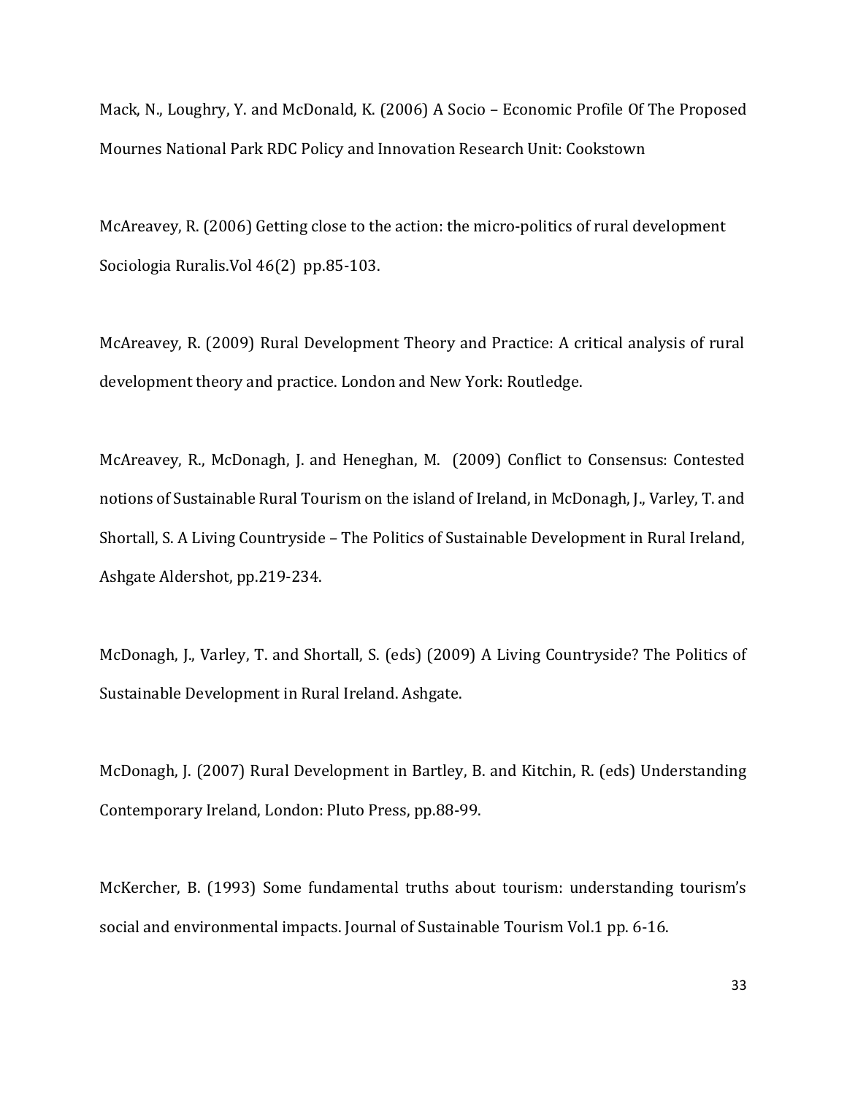Mack, N., Loughry, Y. and McDonald, K. (2006) A Socio – Economic Profile Of The Proposed Mournes National Park RDC Policy and Innovation Research Unit: Cookstown

McAreavey, R. (2006) Getting close to the action: the micro-politics of rural development Sociologia Ruralis.Vol 46(2) pp.85-103.

McAreavey, R. (2009) Rural Development Theory and Practice: A critical analysis of rural development theory and practice. London and New York: Routledge.

McAreavey, R., McDonagh, J. and Heneghan, M. (2009) Conflict to Consensus: Contested notions of Sustainable Rural Tourism on the island of Ireland, in McDonagh, J., Varley, T. and Shortall, S. A Living Countryside – The Politics of Sustainable Development in Rural Ireland, Ashgate Aldershot, pp.219-234.

McDonagh, J., Varley, T. and Shortall, S. (eds) (2009) A Living Countryside? The Politics of Sustainable Development in Rural Ireland. Ashgate.

McDonagh, J. (2007) Rural Development in Bartley, B. and Kitchin, R. (eds) Understanding Contemporary Ireland, London: Pluto Press, pp.88-99.

McKercher, B. (1993) Some fundamental truths about tourism: understanding tourism's social and environmental impacts. Journal of Sustainable Tourism Vol.1 pp. 6-16.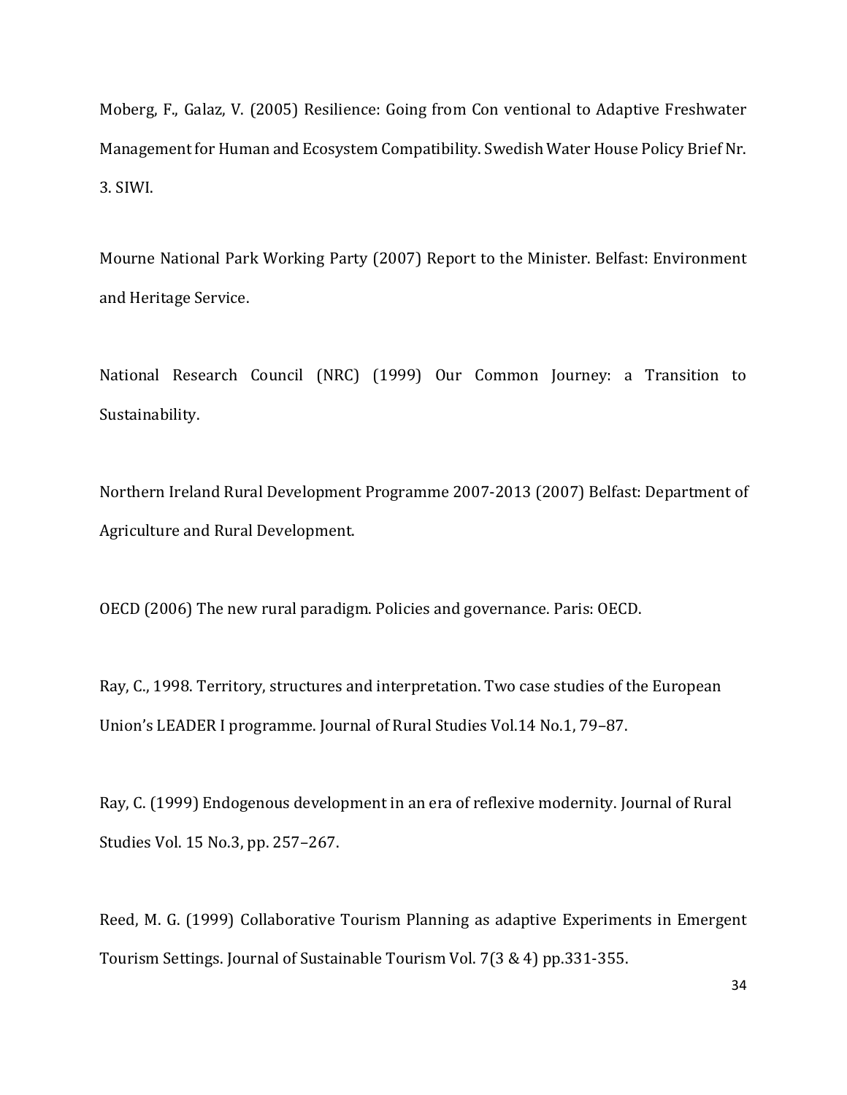Moberg, F., Galaz, V. (2005) Resilience: Going from Con ventional to Adaptive Freshwater Management for Human and Ecosystem Compatibility. Swedish Water House Policy Brief Nr. 3. SIWI.

Mourne National Park Working Party (2007) Report to the Minister. Belfast: Environment and Heritage Service.

National Research Council (NRC) (1999) Our Common Journey: a Transition to Sustainability.

Northern Ireland Rural Development Programme 2007-2013 (2007) Belfast: Department of Agriculture and Rural Development.

OECD (2006) The new rural paradigm. Policies and governance. Paris: OECD.

Ray, C., 1998. Territory, structures and interpretation. Two case studies of the European Union's LEADER I programme. Journal of Rural Studies Vol.14 No.1, 79–87.

Ray, C. (1999) Endogenous development in an era of reflexive modernity. Journal of Rural Studies Vol. 15 No.3, pp. 257–267.

Reed, M. G. (1999) Collaborative Tourism Planning as adaptive Experiments in Emergent Tourism Settings. Journal of Sustainable Tourism Vol. 7(3 & 4) pp.331-355.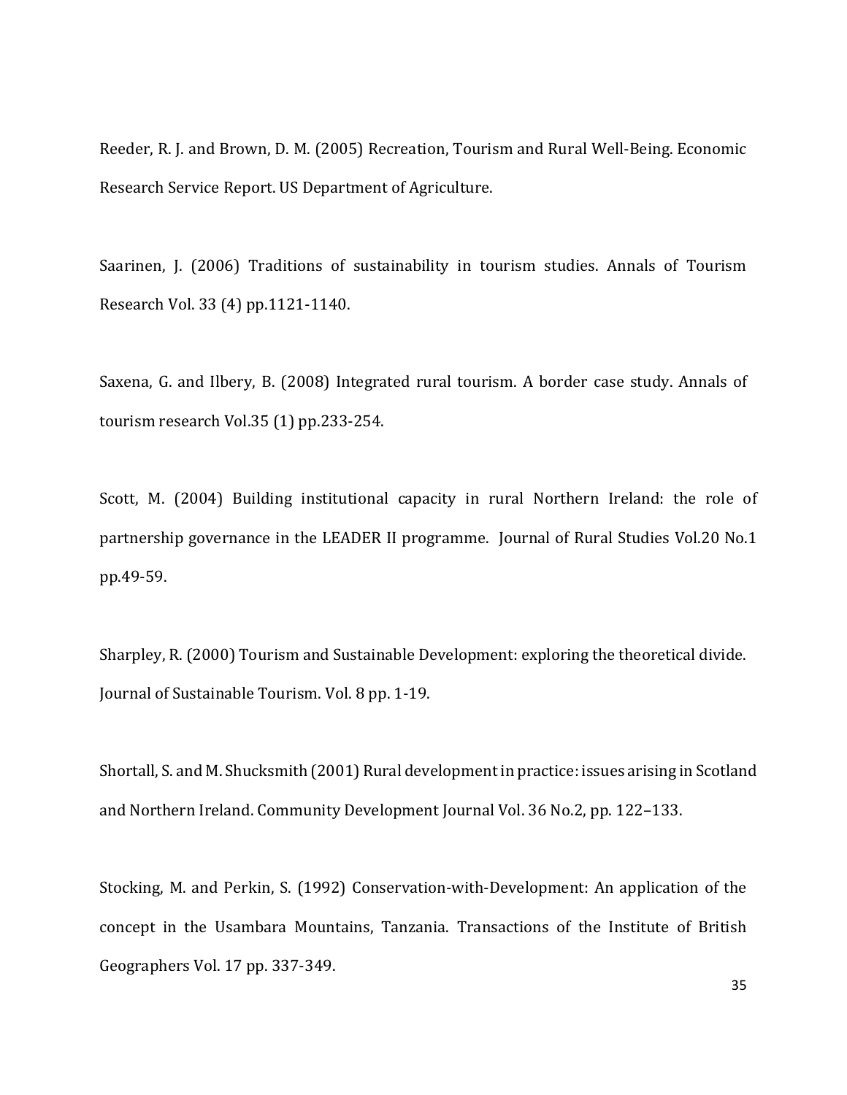Reeder, R. J. and Brown, D. M. (2005) Recreation, Tourism and Rural Well-Being. Economic Research Service Report. US Department of Agriculture.

Saarinen, J. (2006) Traditions of sustainability in tourism studies. Annals of Tourism Research Vol. 33 (4) pp.1121-1140.

Saxena, G. and Ilbery, B. (2008) Integrated rural tourism. A border case study. Annals of tourism research Vol.35 (1) pp.233-254.

Scott, M. (2004) Building institutional capacity in rural Northern Ireland: the role of partnership governance in the LEADER II programme. Journal of Rural Studies Vol.20 No.1 pp.49-59.

Sharpley, R. (2000) Tourism and Sustainable Development: exploring the theoretical divide. Journal of Sustainable Tourism. Vol. 8 pp. 1-19.

Shortall, S. and M. Shucksmith (2001) Rural development in practice: issues arising in Scotland and Northern Ireland. Community Development Journal Vol. 36 No.2, pp. 122–133.

Stocking, M. and Perkin, S. (1992) Conservation-with-Development: An application of the concept in the Usambara Mountains, Tanzania. Transactions of the Institute of British Geographers Vol. 17 pp. 337-349.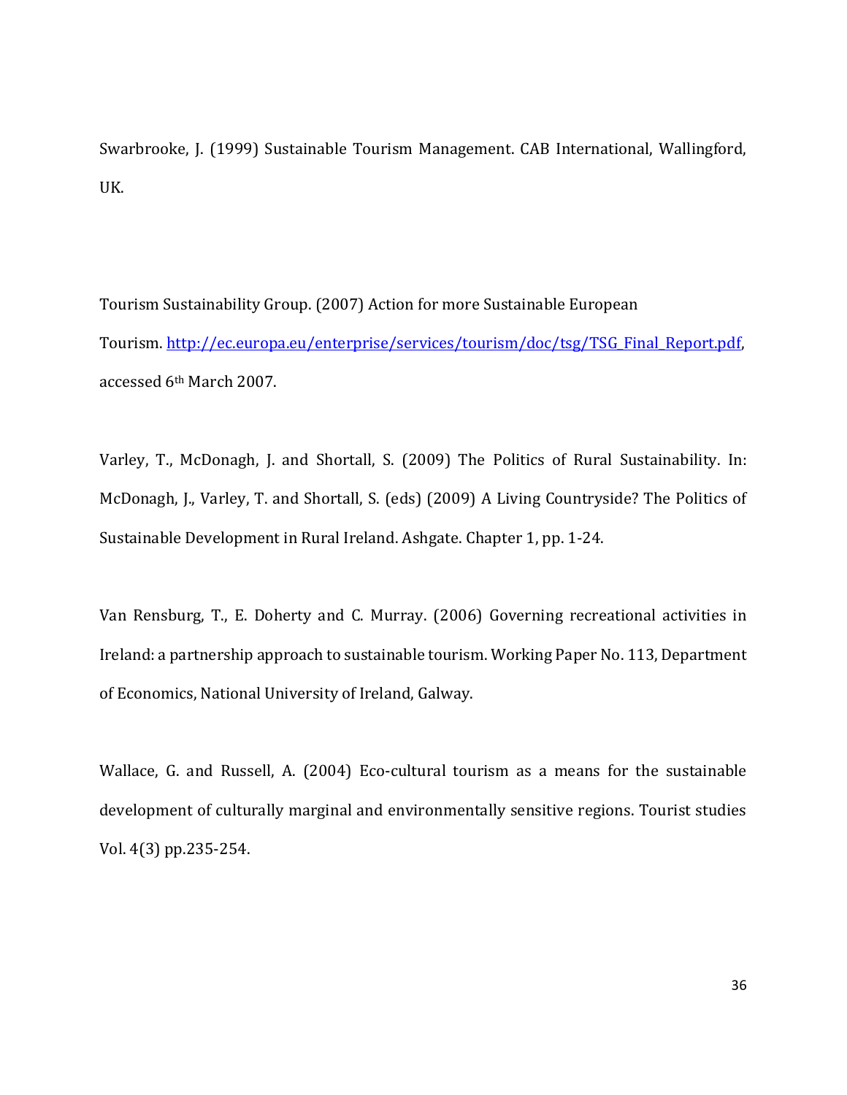Swarbrooke, J. (1999) Sustainable Tourism Management. CAB International, Wallingford, UK.

Tourism Sustainability Group. (2007) Action for more Sustainable European Tourism. [http://ec.europa.eu/enterprise/services/tourism/doc/tsg/TSG\\_Final\\_Report.pdf,](http://ec.europa.eu/enterprise/services/tourism/doc/tsg/TSG_Final_Report.pdf) accessed 6th March 2007.

Varley, T., McDonagh, J. and Shortall, S. (2009) The Politics of Rural Sustainability. In: McDonagh, J., Varley, T. and Shortall, S. (eds) (2009) A Living Countryside? The Politics of Sustainable Development in Rural Ireland. Ashgate. Chapter 1, pp. 1-24.

Van Rensburg, T., E. Doherty and C. Murray. (2006) Governing recreational activities in Ireland: a partnership approach to sustainable tourism. Working Paper No. 113, Department of Economics, National University of Ireland, Galway.

Wallace, G. and Russell, A. (2004) Eco-cultural tourism as a means for the sustainable development of culturally marginal and environmentally sensitive regions. Tourist studies Vol. 4(3) pp.235-254.